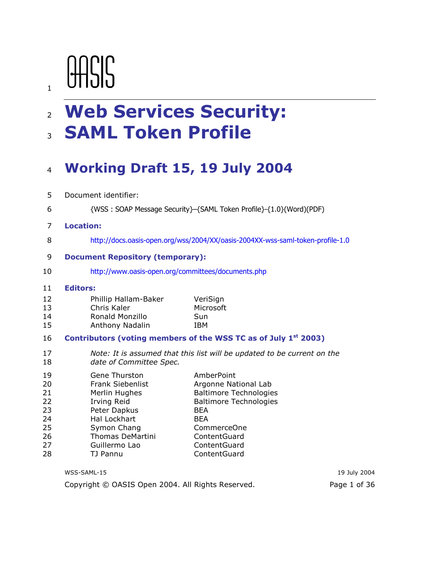# AASIS

 $\mathbf{1}$ 

6

# 2 Web Services Security: **3 SAML Token Profile**

#### Working Draft 15, 19 July 2004  $\overline{4}$

- 5 Document identifier:
	- {WSS: SOAP Message Security}-{SAML Token Profile}-{1.0}(Word)(PDF)

#### $\overline{7}$ **Location:**

8 http://docs.oasis-open.org/wss/2004/XX/oasis-2004XX-wss-saml-token-profile-1.0

VeriSign

#### 9 **Document Repository (temporary):**

10 http://www.oasis-open.org/committees/documents.php

#### $11$ **Editors:**

#### $12<sup>2</sup>$ Phillip Hallam-Baker

#### 13 Chris Kaler Microsoft Ronald Monzillo Sun 14

#### Anthony Nadalin **IBM** 15

#### 16 Contributors (voting members of the WSS TC as of July 1<sup>st</sup> 2003)

17 Note: It is assumed that this list will be updated to be current on the date of Committee Spec. 18

| 19 | Gene Thurston           | AmberPoint                    |
|----|-------------------------|-------------------------------|
| 20 | <b>Frank Siebenlist</b> | Argonne National Lab          |
| 21 | Merlin Hughes           | <b>Baltimore Technologies</b> |
| 22 | Irving Reid             | <b>Baltimore Technologies</b> |
| 23 | Peter Dapkus            | <b>BEA</b>                    |
| 24 | Hal Lockhart            | <b>BFA</b>                    |
| 25 | Symon Chang             | <b>CommerceOne</b>            |
| 26 | Thomas DeMartini        | ContentGuard                  |
| 27 | Guillermo Lao           | ContentGuard                  |
| 28 | TJ Pannu                | ContentGuard                  |
|    |                         |                               |

| WSS-SAML-15                                       | 19 July 2004 |
|---------------------------------------------------|--------------|
| Copyright © OASIS Open 2004. All Rights Reserved. | Page 1 of 36 |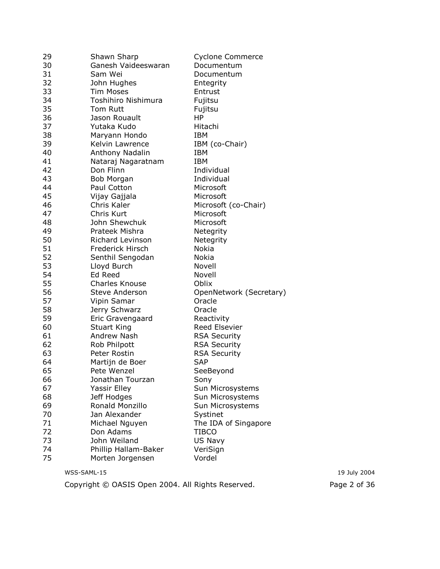| 29 | Shawn Sharp           | Cyclone Commerce        |
|----|-----------------------|-------------------------|
| 30 | Ganesh Vaideeswaran   | Documentum              |
| 31 | Sam Wei               | Documentum              |
| 32 | John Hughes           | Entegrity               |
| 33 | <b>Tim Moses</b>      | Entrust                 |
| 34 | Toshihiro Nishimura   | Fujitsu                 |
| 35 | <b>Tom Rutt</b>       | Fujitsu                 |
| 36 | Jason Rouault         | <b>HP</b>               |
| 37 | Yutaka Kudo           | Hitachi                 |
| 38 | Maryann Hondo         | IBM                     |
| 39 | Kelvin Lawrence       | IBM (co-Chair)          |
| 40 | Anthony Nadalin       | <b>IBM</b>              |
| 41 | Nataraj Nagaratnam    | <b>IBM</b>              |
| 42 | Don Flinn             | Individual              |
| 43 | Bob Morgan            | Individual              |
| 44 | Paul Cotton           | Microsoft               |
| 45 | Vijay Gajjala         | Microsoft               |
| 46 | Chris Kaler           | Microsoft (co-Chair)    |
| 47 | Chris Kurt            | Microsoft               |
| 48 | John Shewchuk         | Microsoft               |
| 49 | Prateek Mishra        | Netegrity               |
| 50 | Richard Levinson      | Netegrity               |
| 51 | Frederick Hirsch      | <b>Nokia</b>            |
| 52 | Senthil Sengodan      | Nokia                   |
| 53 | Lloyd Burch           | Novell                  |
| 54 | Ed Reed               | Novell                  |
| 55 | <b>Charles Knouse</b> | Oblix                   |
| 56 | <b>Steve Anderson</b> | OpenNetwork (Secretary) |
| 57 | Vipin Samar           | Oracle                  |
| 58 | Jerry Schwarz         | Oracle                  |
| 59 | Eric Gravengaard      | Reactivity              |
| 60 | <b>Stuart King</b>    | Reed Elsevier           |
| 61 | Andrew Nash           | <b>RSA Security</b>     |
| 62 | Rob Philpott          | <b>RSA Security</b>     |
| 63 | Peter Rostin          | <b>RSA Security</b>     |
| 64 | Martijn de Boer       | <b>SAP</b>              |
| 65 | Pete Wenzel           | SeeBeyond               |
| 66 | Jonathan Tourzan      | Sony                    |
| 67 | Yassir Elley          | Sun Microsystems        |
| 68 | Jeff Hodges           | Sun Microsystems        |
| 69 | Ronald Monzillo       | Sun Microsystems        |
| 70 | Jan Alexander         | Systinet                |
| 71 | Michael Nguyen        | The IDA of Singapore    |
| 72 | Don Adams             | <b>TIBCO</b>            |
| 73 | John Weiland          | US Navy                 |
| 74 | Phillip Hallam-Baker  | VeriSign                |
| 75 | Morten Jorgensen      | Vordel                  |
|    |                       |                         |

Copyright © OASIS Open 2004. All Rights Reserved.

19 July 2004 Page 2 of 36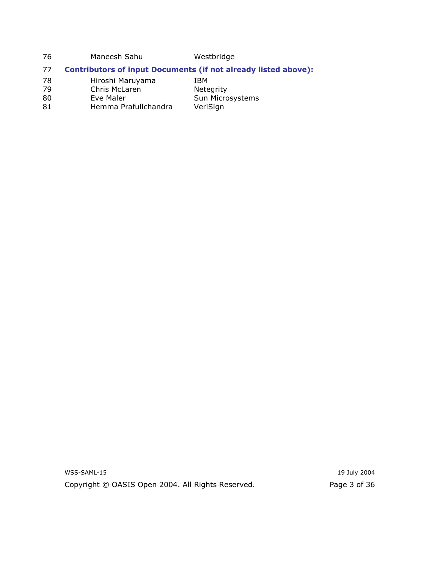76 Westbridge Maneesh Sahu

#### **Contributors of input Documents (if not already listed above):** 77

Sun Microsystems

VeriSign

- 78 Hiroshi Maruyama IBM Netegrity
- Chris McLaren 79
- Eve Maler 80
- Hemma Prafullchandra 81

WSS-SAML-15 Copyright © OASIS Open 2004. All Rights Reserved.

19 July 2004 Page 3 of 36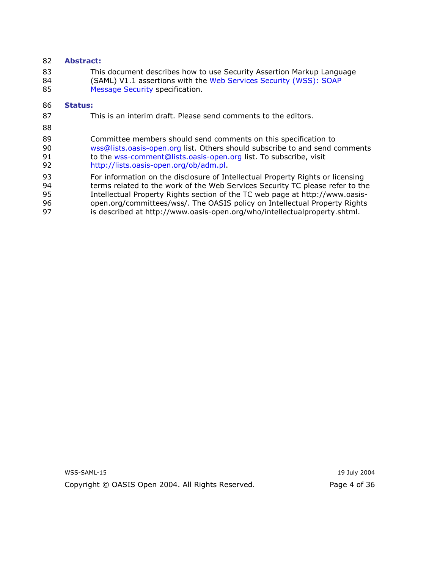#### 82 **Abstract:**

83 This document describes how to use Security Assertion Markup Language 84 (SAML) V1.1 assertions with the Web Services Security (WSS): SOAP 85 Message Security specification.

#### 86 **Status:**

- 87 This is an interim draft. Please send comments to the editors.
- 88
- 89 Committee members should send comments on this specification to 90 wss@lists.oasis-open.org list. Others should subscribe to and send comments to the wss-comment@lists.oasis-open.org list. To subscribe, visit 91 92 http://lists.oasis-open.org/ob/adm.pl.
- 93 For information on the disclosure of Intellectual Property Rights or licensing
- 94 terms related to the work of the Web Services Security TC please refer to the
- 95 Intellectual Property Rights section of the TC web page at http://www.oasis-
- open.org/committees/wss/. The OASIS policy on Intellectual Property Rights 96
- 97 is described at http://www.oasis-open.org/who/intellectualproperty.shtml.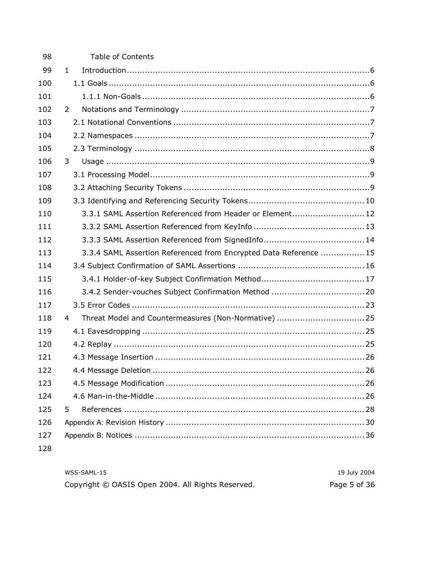| 98  | <b>Table of Contents</b>                                          |
|-----|-------------------------------------------------------------------|
| 99  | $\mathbf{1}$                                                      |
| 100 |                                                                   |
| 101 |                                                                   |
| 102 | $\overline{2}$                                                    |
| 103 |                                                                   |
| 104 |                                                                   |
| 105 |                                                                   |
| 106 | 3                                                                 |
| 107 |                                                                   |
| 108 |                                                                   |
| 109 |                                                                   |
| 110 | 3.3.1 SAML Assertion Referenced from Header or Element 12         |
| 111 |                                                                   |
| 112 |                                                                   |
| 113 | 3.3.4 SAML Assertion Referenced from Encrypted Data Reference  15 |
| 114 |                                                                   |
| 115 |                                                                   |
| 116 |                                                                   |
| 117 |                                                                   |
| 118 | 4                                                                 |
| 119 |                                                                   |
| 120 |                                                                   |
| 121 |                                                                   |
| 122 |                                                                   |
| 123 |                                                                   |
| 124 |                                                                   |
| 125 | 5                                                                 |
| 126 |                                                                   |
| 127 |                                                                   |
| 128 |                                                                   |
|     |                                                                   |

| WSS-SAML-15                                       | 19 July 2004 |
|---------------------------------------------------|--------------|
| Copyright © OASIS Open 2004. All Rights Reserved. | Page 5 of 36 |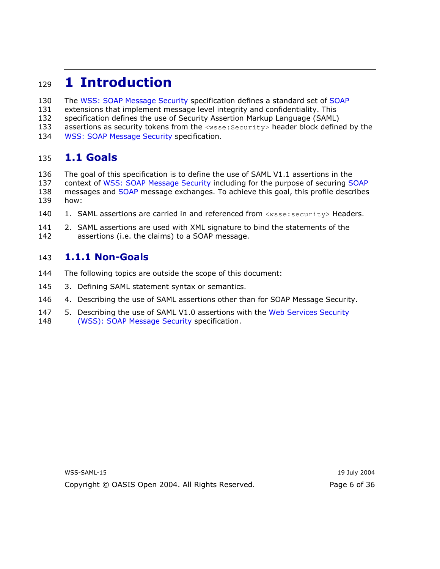#### **1 Introduction** 129

- 130 The WSS: SOAP Message Security specification defines a standard set of SOAP
- extensions that implement message level integrity and confidentiality. This 131
- 132 specification defines the use of Security Assertion Markup Language (SAML)
- 133 assertions as security tokens from the <wsse: Security> header block defined by the
- 134 **WSS: SOAP Message Security specification.**

#### 1.1 Goals 135

- 136 The goal of this specification is to define the use of SAML V1.1 assertions in the 137 context of WSS: SOAP Message Security including for the purpose of securing SOAP 138 messages and SOAP message exchanges. To achieve this goal, this profile describes 139 how:
- 140 1. SAML assertions are carried in and referenced from <wsse:security> Headers.
- 141 2. SAML assertions are used with XML signature to bind the statements of the 142 assertions (i.e. the claims) to a SOAP message.

#### 1.1.1 Non-Goals 143

- 144 The following topics are outside the scope of this document:
- 145 3. Defining SAML statement syntax or semantics.
- 4. Describing the use of SAML assertions other than for SOAP Message Security. 146
- 5. Describing the use of SAML V1.0 assertions with the Web Services Security 147 148 (WSS): SOAP Message Security specification.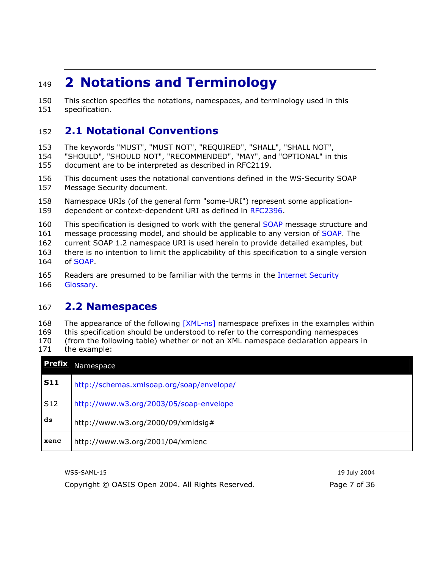#### **2 Notations and Terminology** 149

150 This section specifies the notations, namespaces, and terminology used in this 151 specification.

#### **2.1 Notational Conventions** 152

The keywords "MUST", "MUST NOT", "REQUIRED", "SHALL", "SHALL NOT", 153

154 "SHOULD", "SHOULD NOT", "RECOMMENDED", "MAY", and "OPTIONAL" in this 155 document are to be interpreted as described in RFC2119.

156 This document uses the notational conventions defined in the WS-Security SOAP 157 Message Security document.

158 Namespace URIs (of the general form "some-URI") represent some application-159 dependent or context-dependent URI as defined in RFC2396.

160 This specification is designed to work with the general SOAP message structure and

message processing model, and should be applicable to any version of SOAP. The 161

162 current SOAP 1.2 namespace URI is used herein to provide detailed examples, but

there is no intention to limit the applicability of this specification to a single version 163 of SOAP. 164

165 Readers are presumed to be familiar with the terms in the Internet Security 166 Glossary

#### **2.2 Namespaces** 167

168 The appearance of the following [XML-ns] namespace prefixes in the examples within 169 this specification should be understood to refer to the corresponding namespaces 170 (from the following table) whether or not an XML namespace declaration appears in  $171$ the example:

| <b>Prefix</b>   | Namespace                                 |
|-----------------|-------------------------------------------|
| <b>S11</b>      | http://schemas.xmlsoap.org/soap/envelope/ |
| S <sub>12</sub> | http://www.w3.org/2003/05/soap-envelope   |
| ds              | http://www.w3.org/2000/09/xmldsig#        |
| xenc            | http://www.w3.org/2001/04/xmlenc          |

WSS-SAML-15

Copyright © OASIS Open 2004. All Rights Reserved.

19 July 2004 Page 7 of 36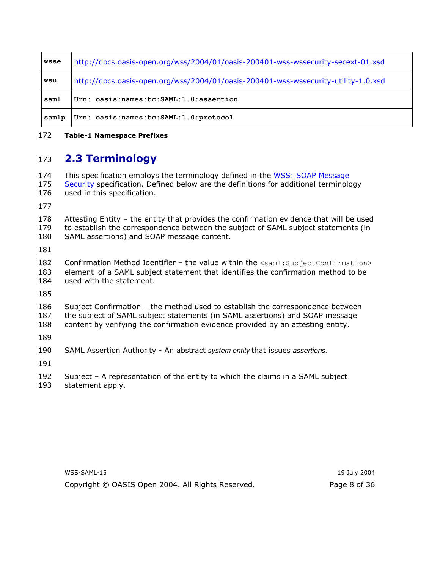| wsse  | http://docs.oasis-open.org/wss/2004/01/oasis-200401-wss-wssecurity-secext-01.xsd   |  |
|-------|------------------------------------------------------------------------------------|--|
| wsu   | http://docs.oasis-open.org/wss/2004/01/oasis-200401-wss-wssecurity-utility-1.0.xsd |  |
| saml  | Urn: oasis: names: tc: SAML: 1.0: assertion                                        |  |
| samlp | Urn: oasis: names: tc: SAML: 1.0: protocol                                         |  |

#### 172 **Table-1 Namespace Prefixes**

#### **2.3 Terminology** 173

174 This specification employs the terminology defined in the WSS: SOAP Message 175 Security specification. Defined below are the definitions for additional terminology 176 used in this specification.

177

178 Attesting Entity - the entity that provides the confirmation evidence that will be used 179 to establish the correspondence between the subject of SAML subject statements (in SAML assertions) and SOAP message content. 180

181

182 Confirmation Method Identifier - the value within the <saml: SubjectConfirmation> 183 element of a SAML subject statement that identifies the confirmation method to be 184 used with the statement.

185

186 Subject Confirmation - the method used to establish the correspondence between

187 the subject of SAML subject statements (in SAML assertions) and SOAP message

188 content by verifying the confirmation evidence provided by an attesting entity.

189

190 SAML Assertion Authority - An abstract system entity that issues assertions.

191

192 Subject  $-$  A representation of the entity to which the claims in a SAML subject

193 statement apply.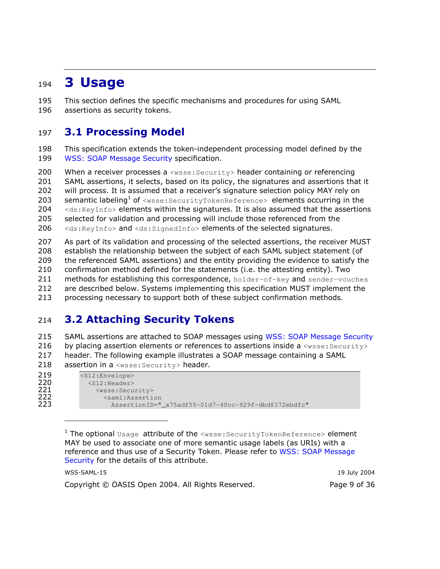#### **3 Usage** 194

195 This section defines the specific mechanisms and procedures for using SAML 196 assertions as security tokens.

#### **3.1 Processing Model** 197

198 This specification extends the token-independent processing model defined by the 199 **WSS: SOAP Message Security specification.** 

200 When a receiver processes a  $\langle$ wsse: Security> header containing or referencing 201 SAML assertions, it selects, based on its policy, the signatures and assertions that it 202 will process. It is assumed that a receiver's signature selection policy MAY rely on 203 **semantic labeling<sup>1</sup> of** <wsse: SecurityTokenReference> elements occurring in the 204 <ds: KeyInfo> elements within the signatures. It is also assumed that the assertions 205 selected for validation and processing will include those referenced from the 206 <ds: KeyInfo> and <ds: SignedInfo> elements of the selected signatures.

207 As part of its validation and processing of the selected assertions, the receiver MUST 208 establish the relationship between the subject of each SAML subject statement (of 209 the referenced SAML assertions) and the entity providing the evidence to satisfy the 210 confirmation method defined for the statements (i.e. the attesting entity). Two 211 methods for establishing this correspondence, holder-of-key and sender-vouches 212 are described below. Systems implementing this specification MUST implement the 213 processing necessary to support both of these subject confirmation methods.

#### **3.2 Attaching Security Tokens** 214

215 SAML assertions are attached to SOAP messages using WSS: SOAP Message Security 216 by placing assertion elements or references to assertions inside a <wsse: Security> 217 header. The following example illustrates a SOAP message containing a SAML 218 assertion in a <wsse: Security> header.

| 219 | $<$ S12:Envelope>                                   |
|-----|-----------------------------------------------------|
| 220 | $<$ S12:Header>                                     |
| 221 | <wsse:security></wsse:security>                     |
| 222 | <saml:assertion< th=""></saml:assertion<>           |
| 223 | AssertionID=" a75adf55-01d7-40cc-929f-dbd8372ebdfc" |
|     |                                                     |

<sup>1</sup> The optional Usage attribute of the <wsse: SecurityTokenReference> element MAY be used to associate one of more semantic usage labels (as URIs) with a reference and thus use of a Security Token. Please refer to WSS: SOAP Message Security for the details of this attribute.

| WSS-SAML-15                                       | 19 July 2004 |
|---------------------------------------------------|--------------|
| Copyright © OASIS Open 2004. All Rights Reserved. | Page 9 of 36 |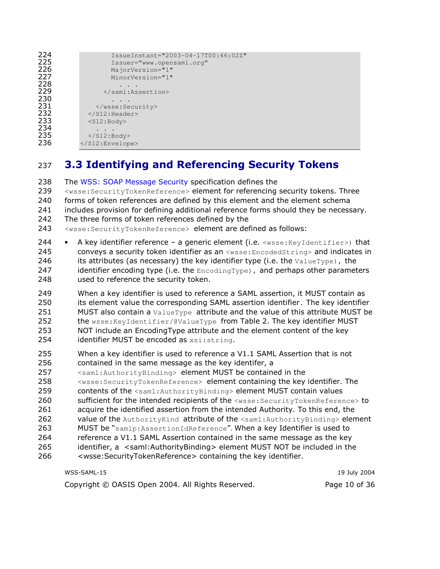| 224 | IssueInstant="2003-04-17T00:46:02Z" |
|-----|-------------------------------------|
| 225 | Issuer="www.opensaml.org"           |
| 226 | $MajorVersion="1"$                  |
| 227 | MinorVersion="1"                    |
| 228 |                                     |
| 229 |                                     |
| 230 |                                     |
| 231 |                                     |
| 232 | $\langle$ /S12:Header>              |
| 233 | $<$ S12:Body>                       |
| 234 |                                     |
| 235 | $\langle$ /S12:Body>                |
| 236 |                                     |
|     |                                     |

#### 3.3 Identifying and Referencing Security Tokens 237

The WSS: SOAP Message Security specification defines the 238 <wsse: SecurityTokenReference> element for referencing security tokens. Three 239 240 forms of token references are defined by this element and the element schema 241 includes provision for defining additional reference forms should they be necessary. 242 The three forms of token references defined by the 243 <wsse: SecurityTokenReference> element are defined as follows: 244 A key identifier reference - a generic element (i.e. <wsse: KeyIdentifier>) that 245 conveys a security token identifier as an <wsse: EncodedString> and indicates in 246 its attributes (as necessary) the key identifier type (i.e. the ValueType), the 247 identifier encoding type (i.e. the  $Encoder_{\text{model}}$ , and perhaps other parameters 248 used to reference the security token. 249 When a key identifier is used to reference a SAML assertion, it MUST contain as 250 its element value the corresponding SAML assertion identifier. The key identifier 251 MUST also contain a ValueType attribute and the value of this attribute MUST be 252 the wsse: KeyIdentifier/@ValueType from Table 2. The key identifier MUST 253 NOT include an EncodingType attribute and the element content of the key 254 identifier MUST be encoded as xsi: string. 255 When a key identifier is used to reference a V1.1 SAML Assertion that is not 256 contained in the same message as the key identifer, a 257 <saml: AuthorityBinding> element MUST be contained in the 258 <wsse: SecurityTokenReference> element containing the key identifier. The 259 contents of the <saml: AuthorityBinding> element MUST contain values sufficient for the intended recipients of the <wsse: SecurityTokenReference> to 260 261 acquire the identified assertion from the intended Authority. To this end, the 262 value of the AuthorityKind attribute of the <saml: AuthorityBinding> element 263 MUST be "samlp: AssertionIdReference". When a key Identifier is used to 264 reference a V1.1 SAML Assertion contained in the same message as the key 265 identifier, a <saml:AuthorityBinding> element MUST NOT be included in the <wsse:SecurityTokenReference> containing the key identifier. 266

| WSS-SAML-15                                       | 19 July 2004  |
|---------------------------------------------------|---------------|
| Copyright © OASIS Open 2004. All Rights Reserved. | Page 10 of 36 |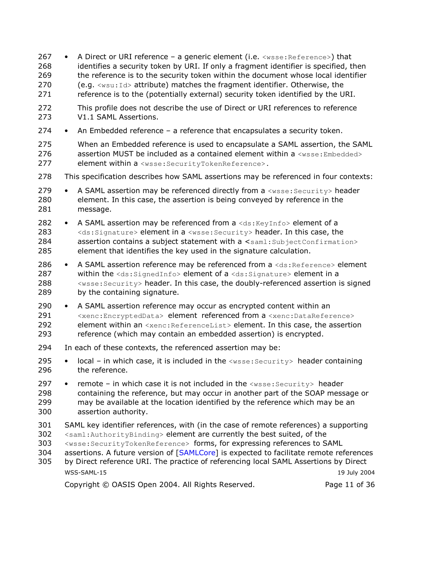267 A Direct or URI reference - a generic element (i.e. <wsse: Reference>) that 268 identifies a security token by URI. If only a fragment identifier is specified, then 269 the reference is to the security token within the document whose local identifier 270  $(e.g. <sub>wsu</sub>:Id>$  attribute) matches the fragment identifier. Otherwise, the 271 reference is to the (potentially external) security token identified by the URI. 272 This profile does not describe the use of Direct or URI references to reference 273 V1.1 SAML Assertions. 274 An Embedded reference  $-$  a reference that encapsulates a security token. 275 When an Embedded reference is used to encapsulate a SAML assertion, the SAML 276 assertion MUST be included as a contained element within a  $\langle$ wsse: Embedded> 277 element within a <wsse: SecurityTokenReference>. 278 This specification describes how SAML assertions may be referenced in four contexts: 279 A SAML assertion may be referenced directly from a <wsse: Security> header 280 element. In this case, the assertion is being conveyed by reference in the 281 message. 282 A SAML assertion may be referenced from a <ds: KeyInfo> element of a 283 <ds: Signature> element in a <wsse: Security> header. In this case, the 284 assertion contains a subject statement with a <saml: SubjectConfirmation> 285 element that identifies the key used in the signature calculation. 286 • A SAML assertion reference may be referenced from a <ds: Reference> element 287 within the <ds:SignedInfo> element of a <ds:Signature> element in a 288 <wsse: Security> header. In this case, the doubly-referenced assertion is signed 289 by the containing signature. 290 • A SAML assertion reference may occur as encrypted content within an 291 <xenc:EncryptedData> element referenced from a <xenc:DataReference> 292 element within an <xenc: ReferenceList> element. In this case, the assertion 293 reference (which may contain an embedded assertion) is encrypted. 294 In each of these contexts, the referenced assertion may be: 295  $local - in which case, it is included in the  $\langle$ wise: Security> header containing$ 296 the reference. 297 remote - in which case it is not included in the <wsse: Security> header 298 containing the reference, but may occur in another part of the SOAP message or 299 may be available at the location identified by the reference which may be an 300 assertion authority. SAML kev identifier references, with (in the case of remote references) a supporting 301 302 <saml: AuthorityBinding> element are currently the best suited, of the 303 <wsse: SecurityTokenReference> forms, for expressing references to SAML 304 assertions. A future version of [SAMLCore] is expected to facilitate remote references 305 by Direct reference URI. The practice of referencing local SAML Assertions by Direct WSS-SAML-15 19 July 2004 Copyright © OASIS Open 2004. All Rights Reserved. Page 11 of 36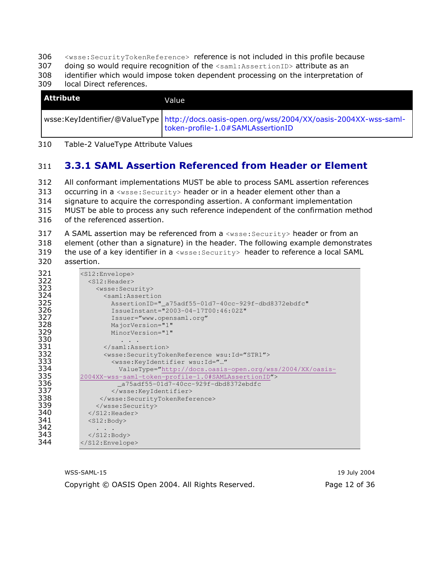- 306 <wsse: SecurityTokenReference> reference is not included in this profile because
- 307 doing so would require recognition of the <saml: AssertionID> attribute as an
- 308 identifier which would impose token dependent processing on the interpretation of
- 309 local Direct references.

| l Attribute | Value                                                                                                                              |
|-------------|------------------------------------------------------------------------------------------------------------------------------------|
|             | wsse:KeyIdentifier/@ValueType   http://docs.oasis-open.org/wss/2004/XX/oasis-2004XX-wss-saml-<br>token-profile-1.0#SAMLAssertionID |

310 Table-2 ValueType Attribute Values

#### **3.3.1 SAML Assertion Referenced from Header or Element** 311

All conformant implementations MUST be able to process SAML assertion references 312 313 occurring in a <wsse: Security> header or in a header element other than a 314 signature to acquire the corresponding assertion. A conformant implementation 315 MUST be able to process any such reference independent of the confirmation method 316 of the referenced assertion.

317 A SAML assertion may be referenced from a <wsse: Security> header or from an 318 element (other than a signature) in the header. The following example demonstrates 319 the use of a key identifier in a <wsse: Security> header to reference a local SAML assertion. 320

| 321 | <s12:envelope></s12:envelope>                                             |
|-----|---------------------------------------------------------------------------|
| 322 | $<$ S12:Header>                                                           |
| 323 | <wsse:security></wsse:security>                                           |
| 324 | <saml:assertion< th=""></saml:assertion<>                                 |
| 325 | AssertionID="_a75adf55-01d7-40cc-929f-dbd8372ebdfc"                       |
| 326 | IssueInstant="2003-04-17T00:46:02Z"                                       |
| 327 | Issuer="www.opensaml.org"                                                 |
| 328 | MajorVersion="1"                                                          |
| 329 | MinorVersion="1"                                                          |
| 330 |                                                                           |
| 331 |                                                                           |
| 332 | <wsse:securitytokenreference wsu:id="STR1"></wsse:securitytokenreference> |
| 333 | <wsse:keyidentifier <="" th="" wsu:id=""></wsse:keyidentifier>            |
| 334 | ValueType="http://docs.oasis-open.org/wss/2004/XX/oasis-                  |
| 335 | 2004XX-wss-saml-token-profile-1.0#SAMLAssertionID">                       |
| 336 | a75adf55-01d7-40cc-929f-dbd8372ebdfc                                      |
| 337 |                                                                           |
| 338 |                                                                           |
| 339 |                                                                           |
| 340 | $\langle$ /S12:Header>                                                    |
| 341 | $<$ S12:Body>                                                             |
| 342 |                                                                           |
| 343 | $\langle$ /S12:Body>                                                      |
| 344 |                                                                           |
|     |                                                                           |

WSS-SAML-15 Copyright © OASIS Open 2004. All Rights Reserved.

19 July 2004 Page 12 of 36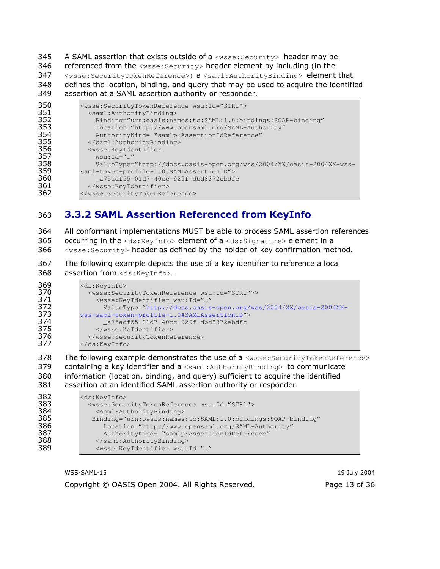345 A SAML assertion that exists outside of a <wsse: Security> header may be

346 referenced from the <wsse: Security> header element by including (in the

347 <wsse:SecurityTokenReference>) a <saml:AuthorityBinding> element that defines the location, binding, and query that may be used to acquire the identified 348 349 assertion at a SAML assertion authority or responder.

| 350 | <wsse:securitytokenreference wsu:id="STR1"></wsse:securitytokenreference> |
|-----|---------------------------------------------------------------------------|
| 351 | <saml:authoritybinding></saml:authoritybinding>                           |
| 352 | Binding="urn:oasis:names:tc:SAML:1.0:bindings:SOAP-binding"               |
| 353 | Location="http://www.opensaml.org/SAML-Authority"                         |
| 354 | AuthorityKind= "samlp:AssertionIdReference"                               |
| 355 |                                                                           |
| 356 | <wsse:keyidentifier< th=""></wsse:keyidentifier<>                         |
| 357 | $wsu:\mathrm{Id} =$ ""                                                    |
| 358 | ValueType="http://docs.oasis-open.org/wss/2004/XX/oasis-2004XX-wss-       |
| 359 | saml-token-profile-1.0#SAMLAssertionID">                                  |
| 360 | a75adf55-01d7-40cc-929f-dbd8372ebdfc                                      |
| 361 |                                                                           |
| 362 |                                                                           |

#### **3.3.2 SAML Assertion Referenced from KeyInfo** 363

364 All conformant implementations MUST be able to process SAML assertion references 365 occurring in the <ds:KeyInfo> element of a <ds:Signature> element in a

<wsse: Security> header as defined by the holder-of-key confirmation method. 366

367 The following example depicts the use of a key identifier to reference a local 368 assertion from <ds: KeyInfo>.

| 369 | <ds:keyinfo></ds:keyinfo>                                                     |  |  |
|-----|-------------------------------------------------------------------------------|--|--|
| 370 | <wsse:securitytokenreference wsu:id="STR1">&gt;</wsse:securitytokenreference> |  |  |
| 371 | <wsse:keyidentifier <="" th="" wsu:id=""></wsse:keyidentifier>                |  |  |
| 372 | ValueType="http://docs.oasis-open.org/wss/2004/XX/oasis-2004XX-               |  |  |
| 373 | wss-saml-token-profile-1.0#SAMLAssertionID">                                  |  |  |
| 374 | a75adf55-01d7-40cc-929f-dbd8372ebdfc                                          |  |  |
| 375 |                                                                               |  |  |
| 376 |                                                                               |  |  |
| 377 | $\langle$ /ds:KeyInfo>                                                        |  |  |
|     |                                                                               |  |  |

The following example demonstrates the use of a <wsse: SecurityTokenReference> 378 379 containing a key identifier and a <saml: AuthorityBinding> to communicate 380 information (location, binding, and query) sufficient to acquire the identified assertion at an identified SAML assertion authority or responder. 381

| 382 | <ds:keyinfo></ds:keyinfo>                                                 |  |
|-----|---------------------------------------------------------------------------|--|
| 383 | <wsse:securitytokenreference wsu:id="STR1"></wsse:securitytokenreference> |  |
| 384 | <saml:authoritybinding></saml:authoritybinding>                           |  |
| 385 | Binding="urn:oasis:names:tc:SAML:1.0:bindings:SOAP-binding"               |  |
| 386 | Location="http://www.opensaml.org/SAML-Authority"                         |  |
| 387 | AuthorityKind= "samlp:AssertionIdReference"                               |  |
| 388 |                                                                           |  |
| 389 | <wsse:keyidentifier <="" th="" wsu:id=""></wsse:keyidentifier>            |  |
|     |                                                                           |  |

WSS-SAML-15 Copyright © OASIS Open 2004. All Rights Reserved.

19 July 2004 Page 13 of 36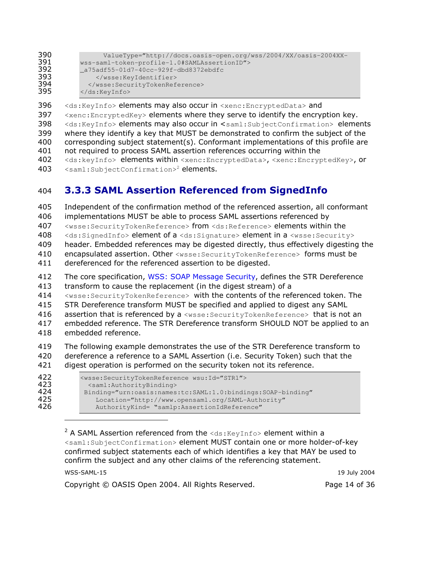| 390 | ValueType="http://docs.oasis-open.org/wss/2004/XX/oasis-2004XX- |
|-----|-----------------------------------------------------------------|
| 391 | wss-saml-token-profile-1.0#SAMLAssertionID">                    |
| 392 | a75adf55-01d7-40cc-929f-dbd8372ebdfc                            |
| 393 |                                                                 |
| 394 |                                                                 |
| 395 | $\langle$ /ds:KeyInfo>                                          |

396 <ds: KeyInfo> elements may also occur in <xenc: EncryptedData> and 397 <xenc: EncryptedKey> elements where they serve to identify the encryption key. 398 <ds:KeyInfo> elements may also occur in <saml:SubjectConfirmation> elements 399 where they identify a key that MUST be demonstrated to confirm the subject of the 400 corresponding subject statement(s). Conformant implementations of this profile are

- 401 not required to process SAML assertion references occurring within the
- 402 <ds:keyInfo> elements within <xenc:EncryptedData>, <xenc:EncryptedKey>, or 403 <saml:SubjectConfirmation><sup>2</sup> elements.

#### **3.3.3 SAML Assertion Referenced from SignedInfo** 404

405 Independent of the confirmation method of the referenced assertion, all conformant 406 implementations MUST be able to process SAML assertions referenced by 407 <wsse: SecurityTokenReference> from <ds: Reference> elements within the 408 <ds:SignedInfo> element of a <ds:Signature> element in a <wsse:Security> 409 header. Embedded references may be digested directly, thus effectively digesting the 410 encapsulated assertion, Other <wsse: SecurityTokenReference> forms must be 411 dereferenced for the referenced assertion to be digested. 412 The core specification, WSS: SOAP Message Security, defines the STR Dereference 413 transform to cause the replacement (in the digest stream) of a 414 <wsse: SecurityTokenReference> with the contents of the referenced token. The 415 STR Dereference transform MUST be specified and applied to digest any SAML 416 assertion that is referenced by a <wsse: SecurityTokenReference> that is not an 417 embedded reference. The STR Dereference transform SHOULD NOT be applied to an 418 embedded reference.

419 The following example demonstrates the use of the STR Dereference transform to 420 dereference a reference to a SAML Assertion (i.e. Security Token) such that the 421 digest operation is performed on the security token not its reference.

| 422 | <wsse:securitytokenreference wsu:id="STR1"></wsse:securitytokenreference> |  |
|-----|---------------------------------------------------------------------------|--|
| 423 | <saml:authoritybinding></saml:authoritybinding>                           |  |
| 424 | Binding="urn:oasis:names:tc:SAML:1.0:bindings:SOAP-binding"               |  |
| 425 | Location="http://www.opensaml.org/SAML-Authority"                         |  |
| 426 | AuthorityKind= "samlp:AssertionIdReference"                               |  |

<sup>2</sup> A SAML Assertion referenced from the  $\text{idx:KeyInfo> element}$  within a <saml:SubjectConfirmation> element MUST contain one or more holder-of-key confirmed subject statements each of which identifies a key that MAY be used to confirm the subject and any other claims of the referencing statement.

| WSS-SAML-15                                       | 19 July 2004  |
|---------------------------------------------------|---------------|
| Copyright © OASIS Open 2004. All Rights Reserved. | Page 14 of 36 |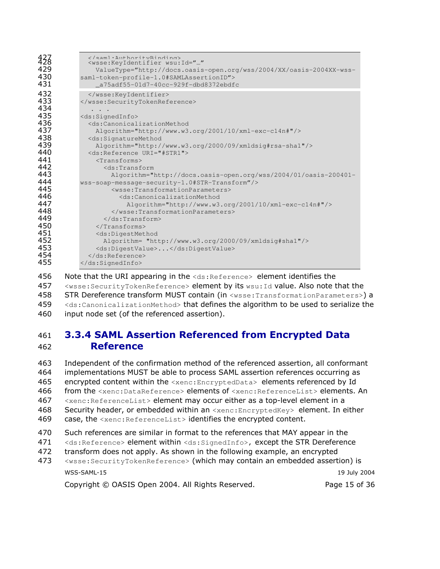| 433<br>429<br>430<br>431 | <br><wsse:keyidentifier <br="" wsu:id="">ValueType="http://docs.oasis-open.org/wss/2004/XX/oasis-2004XX-wss-<br/>saml-token-profile-1.0#SAMLAssertionID"&gt;<br/>a75adf55-01d7-40cc-929f-dbd8372ebdfc</wsse:keyidentifier> |
|--------------------------|----------------------------------------------------------------------------------------------------------------------------------------------------------------------------------------------------------------------------|
| 432<br>433<br>434        | <br>                                                                                                                                                                                                                       |
| 435                      | <ds:signedinfo></ds:signedinfo>                                                                                                                                                                                            |
| 436                      | <ds:canonicalizationmethod< td=""></ds:canonicalizationmethod<>                                                                                                                                                            |
| 437                      | $\text{Algorithm}="http://www.w3.org/2001/10/xml-exc-c14n#"/>$                                                                                                                                                             |
| 438                      | <ds:signaturemethod< td=""></ds:signaturemethod<>                                                                                                                                                                          |
| 439                      | Algorithm="http://www.w3.org/2000/09/xmldsig#rsa-sha1"/>                                                                                                                                                                   |
| 440                      | <ds:reference uri="#STR1"></ds:reference>                                                                                                                                                                                  |
| 441                      | $<$ Transforms $>$                                                                                                                                                                                                         |
| 442                      | $<$ ds:Transform                                                                                                                                                                                                           |
| 443                      | Algorithm="http://docs.oasis-open.org/wss/2004/01/oasis-200401-                                                                                                                                                            |
| 444                      | wss-soap-message-security-1.0#STR-Transform"/>                                                                                                                                                                             |
| 445                      | <wsse:transformationparameters></wsse:transformationparameters>                                                                                                                                                            |
| 446                      | <ds:canonicalizationmethod< td=""></ds:canonicalizationmethod<>                                                                                                                                                            |
| 447                      | $\text{Alqorithm="http://www.w3.org/2001/10/xml-exc-c14n#"/> }$                                                                                                                                                            |
| 448                      |                                                                                                                                                                                                                            |
| 449                      | $\langle$ /ds:Transform>                                                                                                                                                                                                   |
| 450                      | $\langle$ /Transforms>                                                                                                                                                                                                     |
| 451                      | <ds:digestmethod< td=""></ds:digestmethod<>                                                                                                                                                                                |
| 452                      | Algorithm= "http://www.w3.org/2000/09/xmldsig#sha1"/>                                                                                                                                                                      |
| 453                      | <ds:digestvalue></ds:digestvalue>                                                                                                                                                                                          |
| 454                      |                                                                                                                                                                                                                            |
| 455                      |                                                                                                                                                                                                                            |

456 Note that the URI appearing in the  $\langle ds : \text{Reference} \rangle$  element identifies the 457 <wsse: SecurityTokenReference> element by its wsu: Id value. Also note that the 458 STR Dereference transform MUST contain (in <wsse:TransformationParameters>) a 459 <ds:CanonicalizationMethod> that defines the algorithm to be used to serialize the 460 input node set (of the referenced assertion).

## 461 3.3.4 SAML Assertion Referenced from Encrypted Data 462 **Reference**

463 Independent of the confirmation method of the referenced assertion, all conformant 464 implementations MUST be able to process SAML assertion references occurring as 465 encrypted content within the  $\langle x_{\text{enc}}: \text{EncryptedData}\rangle$  elements referenced by Id 466 from the <xenc:DataReference> elements of <xenc:ReferenceList> elements. An 467 <xenc: ReferenceList> element may occur either as a top-level element in a 468 Security header, or embedded within an  $\langle x\rangle$  senc: EncryptedKey> element. In either 469 case, the  $\le$ xenc:ReferenceList> identifies the encrypted content. 470 Such references are similar in format to the references that MAY appear in the 471 <ds:Reference> element within <ds:SignedInfo>, except the STR Dereference

- 472 transform does not apply. As shown in the following example, an encrypted
- $WSS$ -SAML-15 and the contract of the contract of the contract of the contract of the contract of the contract of the contract of the contract of the contract of the contract of the contract of the contract of the contract 19 July 2004 473 <wsse:SecurityTokenReference> (which may contain an embedded assertion) is

Copyright © OASIS Open 2004. All Rights Reserved. The Page 15 of 36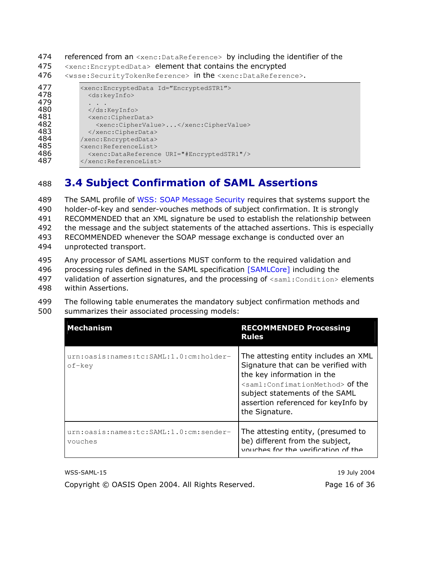474 referenced from an <xenc: DataReference> by including the identifier of the

475 <xenc: EncryptedData> element that contains the encrypted

476 <wsse:SecurityTokenReference> in the <xenc:DataReference>.

| 477<br>478<br>479<br>480<br>481<br>482<br>483<br>484<br>485<br>486<br>487 | <xenc:encrypteddata id="EncryptedSTR1"><br/><ds:keyinfo><br/><math>\langle</math>/ds:KeyInfo&gt;<br/><xenc:cipherdata><br/><xenc:ciphervalue></xenc:ciphervalue><br/></xenc:cipherdata><br/>/xenc:EncryptedData&gt;<br/><xenc:referencelist><br/><xenc:datareference uri="#EncryptedSTR1"></xenc:datareference><br/></xenc:referencelist></ds:keyinfo></xenc:encrypteddata> |
|---------------------------------------------------------------------------|-----------------------------------------------------------------------------------------------------------------------------------------------------------------------------------------------------------------------------------------------------------------------------------------------------------------------------------------------------------------------------|
|---------------------------------------------------------------------------|-----------------------------------------------------------------------------------------------------------------------------------------------------------------------------------------------------------------------------------------------------------------------------------------------------------------------------------------------------------------------------|

#### **3.4 Subject Confirmation of SAML Assertions** 488

489 The SAML profile of WSS: SOAP Message Security requires that systems support the 490 holder-of-key and sender-vouches methods of subject confirmation. It is strongly 491 RECOMMENDED that an XML signature be used to establish the relationship between 492 the message and the subject statements of the attached assertions. This is especially 493 RECOMMENDED whenever the SOAP message exchange is conducted over an 494 unprotected transport.

- 495 Any processor of SAML assertions MUST conform to the required validation and
- 496 processing rules defined in the SAML specification [SAMLCore] including the
- 497 validation of assertion signatures, and the processing of <saml: Condition> elements 498 within Assertions.
- 499 The following table enumerates the mandatory subject confirmation methods and 500 summarizes their associated processing models:

| <b>Mechanism</b>                                  | <b>RECOMMENDED Processing</b><br><b>Rules</b>                                                                                                                                                                                                                       |
|---------------------------------------------------|---------------------------------------------------------------------------------------------------------------------------------------------------------------------------------------------------------------------------------------------------------------------|
| urn:oasis:names:tc:SAML:1.0:cm:holder-<br>of-kev  | The attesting entity includes an XML<br>Signature that can be verified with<br>the key information in the<br><saml:confimationmethod> of the<br/>subject statements of the SAML<br/>assertion referenced for keyInfo by<br/>the Signature.</saml:confimationmethod> |
| urn:oasis:names:tc:SAML:1.0:cm:sender-<br>vouches | The attesting entity, (presumed to<br>be) different from the subject,<br>vouches for the verification of the                                                                                                                                                        |

WSS-SAML-15 19 July 2004 Copyright © OASIS Open 2004. All Rights Reserved. Page 16 of 36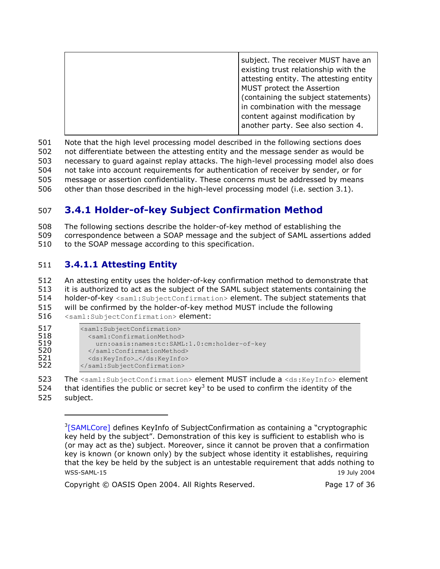501 Note that the high level processing model described in the following sections does 502 not differentiate between the attesting entity and the message sender as would be 503 necessary to guard against replay attacks. The high-level processing model also does 504 not take into account requirements for authentication of receiver by sender, or for 505 message or assertion confidentiality. These concerns must be addressed by means 506 other than those described in the high-level processing model (i.e. section 3.1).

#### 3.4.1 Holder-of-key Subject Confirmation Method 507

The following sections describe the holder-of-key method of establishing the 508 509 correspondence between a SOAP message and the subject of SAML assertions added

510 to the SOAP message according to this specification.

#### 3.4.1.1 Attesting Entity 511

512 An attesting entity uses the holder-of-key confirmation method to demonstrate that it is authorized to act as the subject of the SAML subject statements containing the 513 514 holder-of-key <saml:SubjectConfirmation> element. The subject statements that 515 will be confirmed by the holder-of-key method MUST include the following 516 <saml:SubjectConfirmation> element:

| <saml:subjectconfirmation></saml:subjectconfirmation> |
|-------------------------------------------------------|
| <saml:confirmationmethod></saml:confirmationmethod>   |
| urn:oasis:names:tc:SAML:1.0:cm:holder-of-key          |
|                                                       |
| <ds:keyinfo></ds:keyinfo>                             |
|                                                       |
|                                                       |

523 The <saml:SubjectConfirmation> element MUST include a <ds:KeyInfo> element

524 that identifies the public or secret kev<sup>3</sup> to be used to confirm the identity of the 525 subject.

Copyright © OASIS Open 2004. All Rights Reserved.

Page 17 of 36

<sup>&</sup>lt;sup>3</sup>[SAMLCore] defines KeyInfo of SubjectConfirmation as containing a "cryptographic key held by the subject". Demonstration of this key is sufficient to establish who is (or may act as the) subject. Moreover, since it cannot be proven that a confirmation key is known (or known only) by the subject whose identity it establishes, requiring that the key be held by the subject is an untestable requirement that adds nothing to WSS-SAML-15 19 July 2004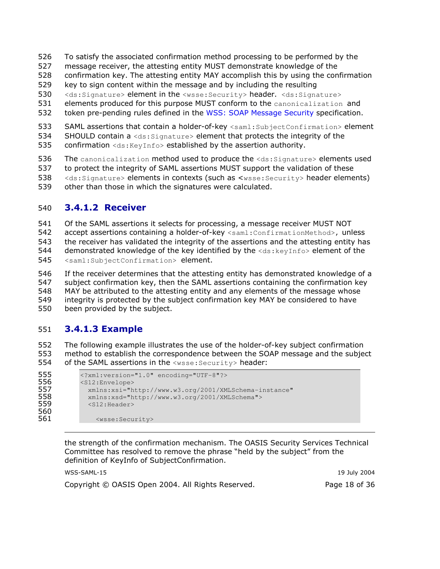- 526 To satisfy the associated confirmation method processing to be performed by the
- 527 message receiver, the attesting entity MUST demonstrate knowledge of the
- 528 confirmation key. The attesting entity MAY accomplish this by using the confirmation
- 529 key to sign content within the message and by including the resulting
- 530 <ds:Signature> element in the <wsse:Security> header. <ds:Signature>
- elements produced for this purpose MUST conform to the canonicalization and 531
- 532 token pre-pending rules defined in the WSS: SOAP Message Security specification.
- 533 SAML assertions that contain a holder-of-key <saml:SubjectConfirmation> element
- 534 SHOULD contain a <ds: Signature> element that protects the integrity of the
- 535 confirmation <ds: KeyInfo> established by the assertion authority.
- 536 The canonicalization method used to produce the <ds: Signature> elements used
- 537 to protect the integrity of SAML assertions MUST support the validation of these
- 538 <ds: Signature> elements in contexts (such as <wsse: Security> header elements)
- 539 other than those in which the signatures were calculated.

#### 540 **3.4.1.2 Receiver**

541 Of the SAML assertions it selects for processing, a message receiver MUST NOT 542 accept assertions containing a holder-of-key <saml:ConfirmationMethod>, unless 543 the receiver has validated the integrity of the assertions and the attesting entity has 544 demonstrated knowledge of the key identified by the  $\langle ds : k(y) \rangle$  element of the 545 <saml:SubjectConfirmation> element.

If the receiver determines that the attesting entity has demonstrated knowledge of a 546 547 subject confirmation key, then the SAML assertions containing the confirmation key MAY be attributed to the attesting entity and any elements of the message whose 548 549 integrity is protected by the subject confirmation key MAY be considered to have 550 been provided by the subject.

#### 551 **3.4.1.3 Example**

552 The following example illustrates the use of the holder-of-key subject confirmation 553 method to establish the correspondence between the SOAP message and the subject 554 of the SAML assertions in the <wsse: Security> header:

```
555
           <?xml:version="1.0" encoding="UTF-8"?>
556<br>557
           <S12:Envelope>
             xmlns:xsi="http://www.w3.org/2001/XMLSchema-instance"
558
             xmlns:xsd="http://www.w3.org/2001/XMLSchema">
559<br>560
             <S12:Header>
561
                <wsse:Security>
```
the strength of the confirmation mechanism. The OASIS Security Services Technical Committee has resolved to remove the phrase "held by the subject" from the definition of KeyInfo of SubjectConfirmation.

| WSS-SAML-15                                       | 19 July 2004  |
|---------------------------------------------------|---------------|
| Copyright © OASIS Open 2004. All Rights Reserved. | Page 18 of 36 |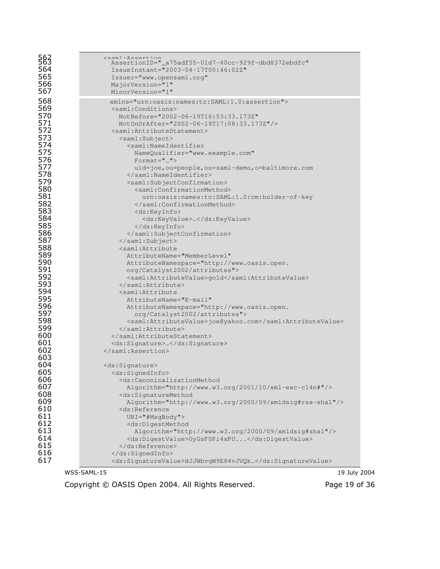| 563<br>563<br>564<br>565<br>566<br>567 | $<$ sam $\cdot$ Assertion<br>AssertionID=" a75adf55-01d7-40cc-929f-dbd8372ebdfc"<br>IssueInstant="2003-04-17T00:46:02Z"<br>Issuer="www.opensaml.org"<br>MajorVersion="1"<br>MinorVersion="1" |
|----------------------------------------|----------------------------------------------------------------------------------------------------------------------------------------------------------------------------------------------|
| 568                                    | xmlns="urn:oasis:names:tc:SAML:1.0:assertion">                                                                                                                                               |
| 569                                    | <saml:conditions></saml:conditions>                                                                                                                                                          |
| 570                                    | NotBefore="2002-06-19T16:53:33.173Z"                                                                                                                                                         |
| 571                                    | NotOnOrAfter="2002-06-19T17:08:33.173Z"/>                                                                                                                                                    |
| 572                                    | <saml:attributestatement></saml:attributestatement>                                                                                                                                          |
| 573                                    | <saml:subject></saml:subject>                                                                                                                                                                |
| 574                                    | <saml:nameidentifier< th=""></saml:nameidentifier<>                                                                                                                                          |
| 575                                    | NameQualifier="www.example.com"                                                                                                                                                              |
| 576                                    | $\text{Format} = \text{""}$                                                                                                                                                                  |
| 577                                    | uid=joe, ou=people, ou=saml-demo, o=baltimore.com                                                                                                                                            |
| 578                                    |                                                                                                                                                                                              |
| 579                                    | <saml:subjectconfirmation></saml:subjectconfirmation>                                                                                                                                        |
| 580                                    | <saml:confirmationmethod></saml:confirmationmethod>                                                                                                                                          |
| 581                                    | urn:oasis:names:tc:SAML:1.0:cm:holder-of-key                                                                                                                                                 |
| 582                                    |                                                                                                                                                                                              |
| 583                                    | <ds:keyinfo></ds:keyinfo>                                                                                                                                                                    |
| 584                                    | <ds:keyvalue></ds:keyvalue>                                                                                                                                                                  |
| 585                                    |                                                                                                                                                                                              |
| 586<br>587<br>588                      | <br>                                                                                                                                                                                         |
| 589<br>590                             | <saml:attribute<br>AttributeName="MemberLevel"<br/>AttributeNamespace="http://www.oasis.open.</saml:attribute<br>                                                                            |
| 591                                    | org/Catalyst2002/attributes">                                                                                                                                                                |
| 592                                    | <saml:attributevalue>qold</saml:attributevalue>                                                                                                                                              |
| 593                                    |                                                                                                                                                                                              |
| 594                                    | <saml:attribute< th=""></saml:attribute<>                                                                                                                                                    |
| 595                                    | AttributeName="E-mail"                                                                                                                                                                       |
| 596                                    | AttributeNamespace="http://www.oasis.open.                                                                                                                                                   |
| 597                                    | org/Catalyst2002/attributes">                                                                                                                                                                |
| 598                                    | <saml:attributevalue>joe@yahoo.com</saml:attributevalue>                                                                                                                                     |
| 599                                    |                                                                                                                                                                                              |
| 600                                    |                                                                                                                                                                                              |
| 601                                    | <ds:signature></ds:signature>                                                                                                                                                                |
| 602                                    |                                                                                                                                                                                              |
| 603<br>604<br>605                      | <ds:signature><br/><ds:signedinfo></ds:signedinfo></ds:signature>                                                                                                                            |
| 606                                    | <ds:canonicalizationmethod< th=""></ds:canonicalizationmethod<>                                                                                                                              |
| 607                                    | Algorithm="http://www.w3.org/2001/10/xml-exc-c14n#"/>                                                                                                                                        |
| 608                                    | <ds:signaturemethod< td=""></ds:signaturemethod<>                                                                                                                                            |
| 609                                    | Algorithm="http://www.w3.org/2000/09/xmldsig#rsa-sha1"/>                                                                                                                                     |
| 610                                    | <ds:reference< td=""></ds:reference<>                                                                                                                                                        |
| 611                                    | $URI = "$ #MsqBody">                                                                                                                                                                         |
| 612                                    | <ds:digestmethod< th=""></ds:digestmethod<>                                                                                                                                                  |
| 613                                    | Algorithm="http://www.w3.org/2000/09/xmldsig#shal"/>                                                                                                                                         |
| 614                                    | <ds:digestvalue>GyGsF0Pi4xPU</ds:digestvalue>                                                                                                                                                |
| 615                                    |                                                                                                                                                                                              |
| 616                                    |                                                                                                                                                                                              |
| 617                                    | <ds:signaturevalue>HJJWbvqW9E84vJVQk</ds:signaturevalue>                                                                                                                                     |

 $WSS$ -SAML-15 and the contract of the contract of the contract of the contract of the contract of the contract of the contract of the contract of the contract of the contract of the contract of the contract of the contract

Copyright © OASIS Open 2004. All Rights Reserved.

19 July 2004 Page 19 of 36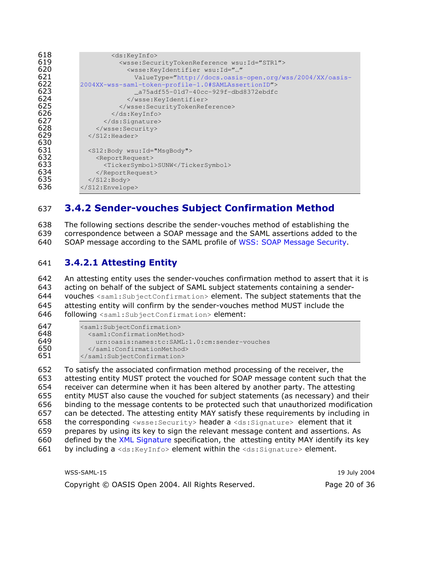| 618 | <ds:keyinfo></ds:keyinfo>                                                 |
|-----|---------------------------------------------------------------------------|
| 619 | <wsse:securitytokenreference wsu:id="STR1"></wsse:securitytokenreference> |
| 620 | <wsse:keyidentifier <="" th="" wsu:id=""></wsse:keyidentifier>            |
| 621 | ValueType="http://docs.oasis-open.org/wss/2004/XX/oasis-                  |
| 622 | 2004XX-wss-saml-token-profile-1.0#SAMLAssertionID">                       |
| 623 | a75adf55-01d7-40cc-929f-dbd8372ebdfc                                      |
| 624 |                                                                           |
| 625 |                                                                           |
| 626 | $\langle$ /ds:KeyInfo>                                                    |
| 627 |                                                                           |
| 628 |                                                                           |
| 629 |                                                                           |
| 630 | $\langle$ /S12:Header>                                                    |
|     |                                                                           |
| 631 | <s12:body wsu:id="MsqBody"></s12:body>                                    |
| 632 | <reportrequest></reportrequest>                                           |
| 633 | <tickersymbol>SUNW</tickersymbol>                                         |
| 634 |                                                                           |
| 635 | $\langle$ /S12:Body>                                                      |
| 636 |                                                                           |
|     |                                                                           |

#### **3.4.2 Sender-vouches Subject Confirmation Method** 637

The following sections describe the sender-vouches method of establishing the 638 639 correspondence between a SOAP message and the SAML assertions added to the 640 SOAP message according to the SAML profile of WSS: SOAP Message Security.

#### 3.4.2.1 Attesting Entity 641

642 An attesting entity uses the sender-vouches confirmation method to assert that it is 643 acting on behalf of the subject of SAML subject statements containing a sender-644 vouches <saml: SubjectConfirmation> element. The subject statements that the 645 attesting entity will confirm by the sender-vouches method MUST include the 646 following <saml:SubjectConfirmation> element:

| 647 | <saml:subjectconfirmation></saml:subjectconfirmation> |
|-----|-------------------------------------------------------|
| 648 | <saml:confirmationmethod></saml:confirmationmethod>   |
| 649 | urn:oasis:names:tc:SAML:1.0:cm:sender-vouches         |
| 650 |                                                       |
| 651 |                                                       |

652 To satisfy the associated confirmation method processing of the receiver, the 653 attesting entity MUST protect the vouched for SOAP message content such that the receiver can determine when it has been altered by another party. The attesting 654 655 entity MUST also cause the vouched for subject statements (as necessary) and their 656 binding to the message contents to be protected such that unauthorized modification 657 can be detected. The attesting entity MAY satisfy these requirements by including in 658 the corresponding <wsse: Security> header a <ds: Signature> element that it 659 prepares by using its key to sign the relevant message content and assertions. As 660 defined by the XML Signature specification, the attesting entity MAY identify its key by including a <ds: KeyInfo> element within the <ds: Signature> element. 661

| WSS-SAML-15                                       | 19 July 2004  |
|---------------------------------------------------|---------------|
| Copyright © OASIS Open 2004. All Rights Reserved. | Page 20 of 36 |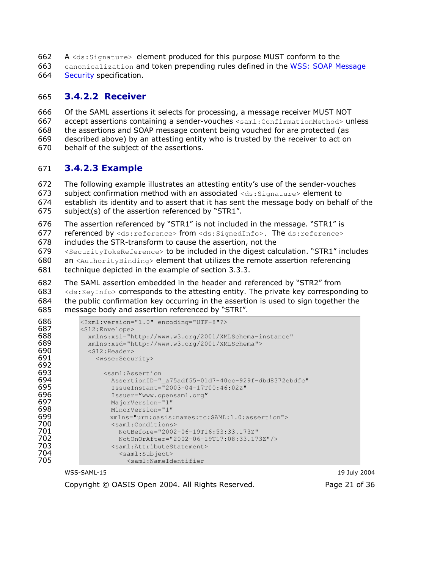- A <ds: Signature> element produced for this purpose MUST conform to the 662
- 663 canonicalization and token prepending rules defined in the WSS: SOAP Message 664 Security specification.

#### **3.4.2.2 Receiver** 665

666 Of the SAML assertions it selects for processing, a message receiver MUST NOT 667 accept assertions containing a sender-vouches <saml:ConfirmationMethod> unless the assertions and SOAP message content being vouched for are protected (as 668 669 described above) by an attesting entity who is trusted by the receiver to act on 670 behalf of the subject of the assertions.

#### **3.4.2.3 Example** 671

672 The following example illustrates an attesting entity's use of the sender-vouches 673 subject confirmation method with an associated <ds: Signature> element to 674 establish its identity and to assert that it has sent the message body on behalf of the

- 675 subject(s) of the assertion referenced by "STR1".
- 676 The assertion referenced by "STR1" is not included in the message. "STR1" is

677 referenced by <ds:reference> from <ds:SignedInfo>. The ds:reference>

678 includes the STR-transform to cause the assertion, not the

<SecurityTokeReference> to be included in the digest calculation. "STR1" includes 679 680 an <AuthorityBinding> element that utilizes the remote assertion referencing

- 681 technique depicted in the example of section 3.3.3.
- 682 The SAML assertion embedded in the header and referenced by "STR2" from

683 <ds: KeyInfo> corresponds to the attesting entity. The private key corresponding to

- 684 the public confirmation key occurring in the assertion is used to sign together the
- 685 message body and assertion referenced by "STRI".

```
686
          <?xml:version="1.0" encoding="UTF-8"?>
687
          <S12:Envelope>
688
            xmlns:xsi="http://www.w3.org/2001/XMLSchema-instance"
689
           xmlns:xsd="http://www.w3.org/2001/XMLSchema">
690
           <S12:Header>
691
              <wsse:Security>
692
693
                <saml:Assertion
694
                 AssertionID="_a75adf55-01d7-40cc-929f-dbd8372ebdfc"
695
                 IssueInstant="2003-04-17T00:46:02Z"
696
                 Issuer="www.opensaml.org"
                 MajorVersion="1"
697
698
                 MinorVersion="1"
699
                 xmlns="urn:oasis:names:tc:SAML:1.0:assertion">
700
                  <saml:Conditions>
701
                   NotBefore="2002-06-19T16:53:33.173Z"
702
                   NotOnOrAfter="2002-06-19T17:08:33.173Z"/>
703
                 <saml:AttributeStatement>
704
                    <saml:Subject>
705
                      <saml:NameIdentifier
```
WSS-SAML-15

Copyright © OASIS Open 2004. All Rights Reserved.

19 July 2004 Page 21 of 36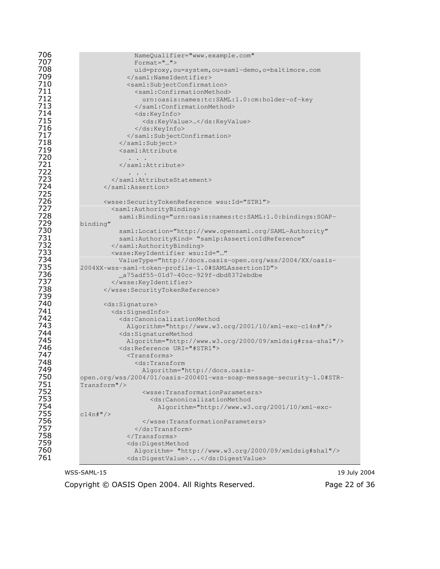| 706<br>707 | NameQualifier="www.example.com"<br>$\text{Format} = ""$                                                                       |
|------------|-------------------------------------------------------------------------------------------------------------------------------|
| 708        | uid=proxy, ou=system, ou=saml-demo, o=baltimore.com                                                                           |
| 709        |                                                                                                                               |
| 710        | <saml:subjectconfirmation></saml:subjectconfirmation>                                                                         |
| 711<br>712 | <saml:confirmationmethod></saml:confirmationmethod>                                                                           |
| 713        | urn:oasis:names:tc:SAML:1.0:cm:holder-of-key<br>                                                                              |
| 714        | <ds:keyinfo></ds:keyinfo>                                                                                                     |
| 715        | <ds:keyvalue></ds:keyvalue>                                                                                                   |
|            |                                                                                                                               |
| 716<br>717 |                                                                                                                               |
| 718        |                                                                                                                               |
| 719        | <saml:attribute< th=""></saml:attribute<>                                                                                     |
| 720        | .                                                                                                                             |
| 721        |                                                                                                                               |
| 722        |                                                                                                                               |
| 723        |                                                                                                                               |
| 724        |                                                                                                                               |
| 725<br>726 |                                                                                                                               |
| 727        | <wsse:securitytokenreference wsu:id="STR1"><br/><saml:authoritybinding></saml:authoritybinding></wsse:securitytokenreference> |
| 728        | saml:Binding="urn:oasis:names:tc:SAML:1.0:bindings:SOAP-                                                                      |
| 729        | binding"                                                                                                                      |
| 730        | saml:Location="http://www.opensaml.org/SAML-Authority"                                                                        |
| 731        | saml:AuthorityKind= "samlp:AssertionIdReference"                                                                              |
| 732        |                                                                                                                               |
| 733        | <wsse:keyidentifier <="" th="" wsu:id=""></wsse:keyidentifier>                                                                |
| 734        | ValueType="http://docs.oasis-open.org/wss/2004/XX/oasis-                                                                      |
| 735        | 2004XX-wss-saml-token-profile-1.0#SAMLAssertionID">                                                                           |
| 736<br>737 | _a75adf55-01d7-40cc-929f-dbd8372ebdbe                                                                                         |
| 738        |                                                                                                                               |
| 739        |                                                                                                                               |
| 740        | <ds:signature></ds:signature>                                                                                                 |
| 741        | <ds:signedinfo></ds:signedinfo>                                                                                               |
| 742        | <ds:canonicalizationmethod< th=""></ds:canonicalizationmethod<>                                                               |
| 743        | Algorithm="http://www.w3.org/2001/10/xml-exc-c14n#"/>                                                                         |
| 744        | <ds:signaturemethod< th=""></ds:signaturemethod<>                                                                             |
| 745        | Algorithm="http://www.w3.org/2000/09/xmldsig#rsa-shal"/>                                                                      |
| 746        | <ds:reference uri="#STR1"></ds:reference>                                                                                     |
| 747        | $<$ Transforms $>$                                                                                                            |
| 748<br>749 | <ds:transform< th=""></ds:transform<>                                                                                         |
| 750        | Algorithm="http://docs.oasis-<br>open.org/wss/2004/01/oasis-200401-wss-soap-message-security-1.0#STR-                         |
| 751        | $Transform$ "/>                                                                                                               |
| 752        | <wsse:transformationparameters></wsse:transformationparameters>                                                               |
| 753        | <ds:canonicalizationmethod< th=""></ds:canonicalizationmethod<>                                                               |
| 754        | Algorithm="http://www.w3.org/2001/10/xml-exc-                                                                                 |
| 755        | $c14n$ # $''$ />                                                                                                              |
| 756        |                                                                                                                               |
| 757        | $\langle$ /ds:Transform>                                                                                                      |
| 758        | $\langle$ /Transforms>                                                                                                        |
| 759        | <ds:digestmethod< th=""></ds:digestmethod<>                                                                                   |
| 760<br>761 | Algorithm= "http://www.w3.org/2000/09/xmldsig#sha1"/>                                                                         |
|            | <ds:digestvalue></ds:digestvalue>                                                                                             |

Copyright © OASIS Open 2004. All Rights Reserved.

19 July 2004 Page 22 of 36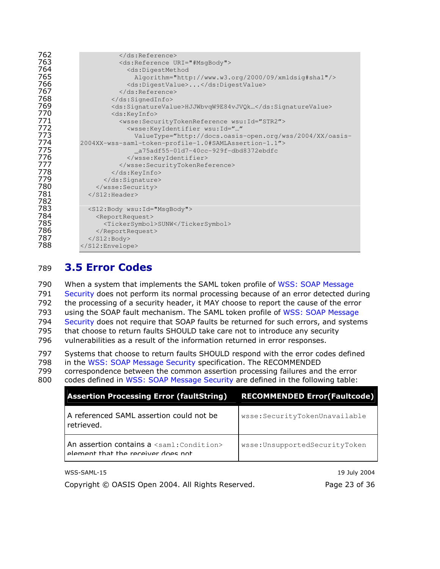| 762 |                                                                           |
|-----|---------------------------------------------------------------------------|
| 763 | <ds:reference uri="#MsqBody"></ds:reference>                              |
| 764 | <ds:digestmethod< th=""></ds:digestmethod<>                               |
| 765 | Algorithm="http://www.w3.org/2000/09/xmldsig#sha1"/>                      |
| 766 | <ds:digestvalue></ds:digestvalue>                                         |
| 767 |                                                                           |
| 768 |                                                                           |
| 769 | <ds:signaturevalue>HJJWbvqW9E84vJVQk</ds:signaturevalue>                  |
| 770 | <ds:keyinfo></ds:keyinfo>                                                 |
| 771 | <wsse:securitytokenreference wsu:id="STR2"></wsse:securitytokenreference> |
| 772 | <wsse:keyidentifier <="" th="" wsu:id=""></wsse:keyidentifier>            |
| 773 | ValueType="http://docs.oasis-open.org/wss/2004/XX/oasis-                  |
| 774 | 2004XX-wss-saml-token-profile-1.0#SAMLAssertion-1.1">                     |
| 775 | _a75adf55-01d7-40cc-929f-dbd8372ebdfc                                     |
| 776 |                                                                           |
| 777 |                                                                           |
| 778 | $\langle$ /ds:KeyInfo>                                                    |
| 779 | $\langle$ /ds:Signature>                                                  |
| 780 |                                                                           |
| 781 | $\langle$ /S12:Header>                                                    |
| 782 |                                                                           |
| 783 | <s12:body wsu:id="MsgBody"></s12:body>                                    |
| 784 | <reportrequest></reportrequest>                                           |
| 785 | <tickersymbol>SUNW</tickersymbol>                                         |
| 786 |                                                                           |
| 787 | $\langle$ /S12:Body>                                                      |
| 788 |                                                                           |

#### **3.5 Error Codes** 789

790 When a system that implements the SAML token profile of WSS: SOAP Message 791 Security does not perform its normal processing because of an error detected during 792 the processing of a security header, it MAY choose to report the cause of the error 793 using the SOAP fault mechanism. The SAML token profile of WSS: SOAP Message 794 Security does not require that SOAP faults be returned for such errors, and systems 795 that choose to return faults SHOULD take care not to introduce any security 796 vulnerabilities as a result of the information returned in error responses.

797 Systems that choose to return faults SHOULD respond with the error codes defined 798 in the WSS: SOAP Message Security specification. The RECOMMENDED

799 correspondence between the common assertion processing failures and the error

800 codes defined in WSS: SOAP Message Security are defined in the following table:

| <b>Assertion Processing Error (faultString)</b>                                             | <b>RECOMMENDED Error(Faultcode)</b> |
|---------------------------------------------------------------------------------------------|-------------------------------------|
| A referenced SAML assertion could not be<br>retrieved.                                      | wsse:SecurityTokenUnavailable       |
| An assertion contains a <saml: condition=""><br/>element that the receiver does not</saml:> | wsse:UnsupportedSecurityToken       |

WSS-SAML-15

19 July 2004

Copyright © OASIS Open 2004. All Rights Reserved.

Page 23 of 36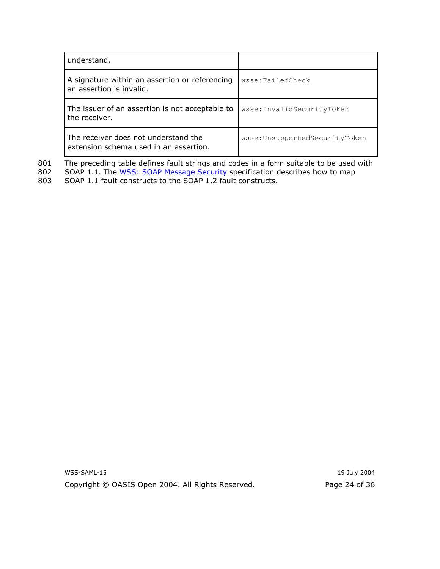| understand.                                                                    |                               |
|--------------------------------------------------------------------------------|-------------------------------|
| A signature within an assertion or referencing<br>an assertion is invalid.     | wsse:FailedCheck              |
| The issuer of an assertion is not acceptable to<br>the receiver.               | wsse:InvalidSecurityToken     |
| The receiver does not understand the<br>extension schema used in an assertion. | wsse:UnsupportedSecurityToken |

The preceding table defines fault strings and codes in a form suitable to be used with SOAP 1.1. The WSS: SOAP Message Security specification describes how to map 801

802

803 SOAP 1.1 fault constructs to the SOAP 1.2 fault constructs.

> WSS-SAML-15 Copyright © OASIS Open 2004. All Rights Reserved.

19 July 2004 Page 24 of 36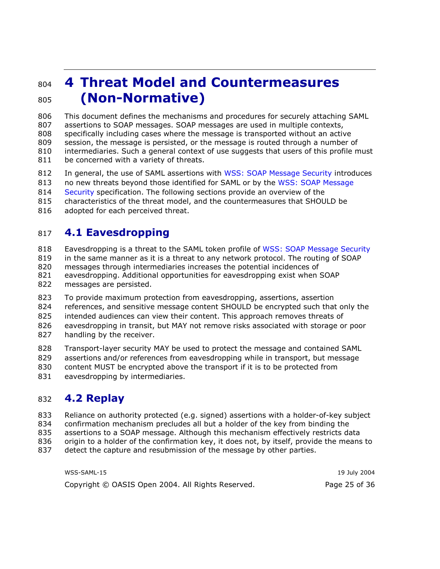#### **4 Threat Model and Countermeasures** 804 (Non-Normative) 805

806 This document defines the mechanisms and procedures for securely attaching SAML 807 assertions to SOAP messages. SOAP messages are used in multiple contexts, 808 specifically including cases where the message is transported without an active 809 session, the message is persisted, or the message is routed through a number of 810 intermediaries. Such a general context of use suggests that users of this profile must 811 be concerned with a variety of threats.

812 In general, the use of SAML assertions with WSS: SOAP Message Security introduces

813 no new threats beyond those identified for SAML or by the WSS: SOAP Message

814 Security specification. The following sections provide an overview of the

815 characteristics of the threat model, and the countermeasures that SHOULD be

816 adopted for each perceived threat.

#### **4.1 Eavesdropping** 817

818 Eavesdropping is a threat to the SAML token profile of WSS: SOAP Message Security

819 in the same manner as it is a threat to any network protocol. The routing of SOAP

820 messages through intermediaries increases the potential incidences of

821 eavesdropping. Additional opportunities for eavesdropping exist when SOAP 822 messages are persisted.

823 To provide maximum protection from eavesdropping, assertions, assertion

824 references, and sensitive message content SHOULD be encrypted such that only the

825 intended audiences can view their content. This approach removes threats of

826 eavesdropping in transit, but MAY not remove risks associated with storage or poor 827 handling by the receiver.

828 Transport-layer security MAY be used to protect the message and contained SAML 829 assertions and/or references from eavesdropping while in transport, but message

830 content MUST be encrypted above the transport if it is to be protected from 831 eavesdropping by intermediaries.

#### 832 4.2 Replay

833 Reliance on authority protected (e.g. signed) assertions with a holder-of-key subject

834 confirmation mechanism precludes all but a holder of the key from binding the

835 assertions to a SOAP message. Although this mechanism effectively restricts data

836 origin to a holder of the confirmation key, it does not, by itself, provide the means to

837 detect the capture and resubmission of the message by other parties.

WSS-SAML-15 19 July 2004 Copyright © OASIS Open 2004. All Rights Reserved. Page 25 of 36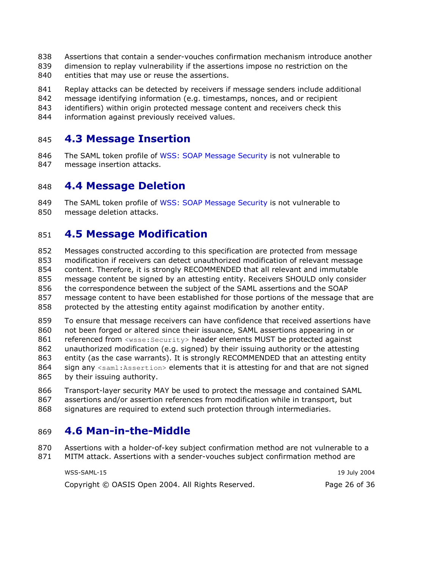- 838 Assertions that contain a sender-vouches confirmation mechanism introduce another
- 839 dimension to replay vulnerability if the assertions impose no restriction on the
- 840 entities that may use or reuse the assertions.
- 841 Replay attacks can be detected by receivers if message senders include additional
- 842 message identifying information (e.g. timestamps, nonces, and or recipient
- 843 identifiers) within origin protected message content and receivers check this
- 844 information against previously received values.

#### **4.3 Message Insertion** 845

846 The SAML token profile of WSS: SOAP Message Security is not vulnerable to 847 message insertion attacks.

#### **4.4 Message Deletion** 848

849 The SAML token profile of WSS: SOAP Message Security is not vulnerable to 850 message deletion attacks.

#### **4.5 Message Modification** 851

- 852 Messages constructed according to this specification are protected from message 853 modification if receivers can detect unauthorized modification of relevant message 854 content. Therefore, it is strongly RECOMMENDED that all relevant and immutable 855 message content be signed by an attesting entity. Receivers SHOULD only consider 856 the correspondence between the subject of the SAML assertions and the SOAP 857 message content to have been established for those portions of the message that are 858 protected by the attesting entity against modification by another entity.
- 859 To ensure that message receivers can have confidence that received assertions have 860 not been forged or altered since their issuance, SAML assertions appearing in or 861 referenced from <wsse: Security> header elements MUST be protected against 862 unauthorized modification (e.g. signed) by their issuing authority or the attesting 863 entity (as the case warrants). It is strongly RECOMMENDED that an attesting entity 864 sign any <saml: Assertion> elements that it is attesting for and that are not signed 865 by their issuing authority.
- 866 Transport-layer security MAY be used to protect the message and contained SAML assertions and/or assertion references from modification while in transport, but 867
- 868 signatures are required to extend such protection through intermediaries.

#### 4.6 Man-in-the-Middle 869

870 Assertions with a holder-of-key subject confirmation method are not vulnerable to a 871 MITM attack. Assertions with a sender-vouches subject confirmation method are

| WSS-SAML-15                                       | 19 July 2004  |
|---------------------------------------------------|---------------|
| Copyright © OASIS Open 2004. All Rights Reserved. | Page 26 of 36 |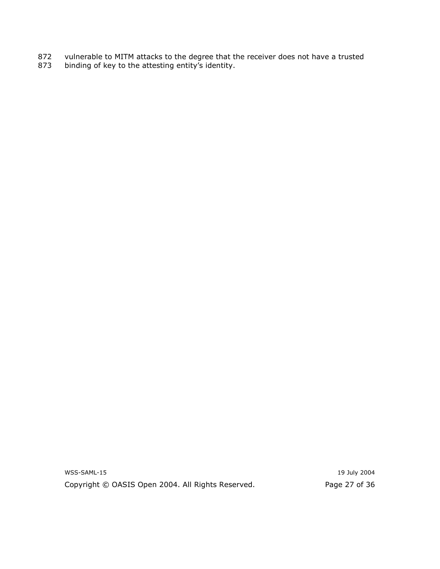- vulnerable to MITM attacks to the degree that the receiver does not have a trusted binding of key to the attesting entity's identity. 872
- 873

WSS-SAML-15 Copyright © OASIS Open 2004. All Rights Reserved.

19 July 2004 Page 27 of 36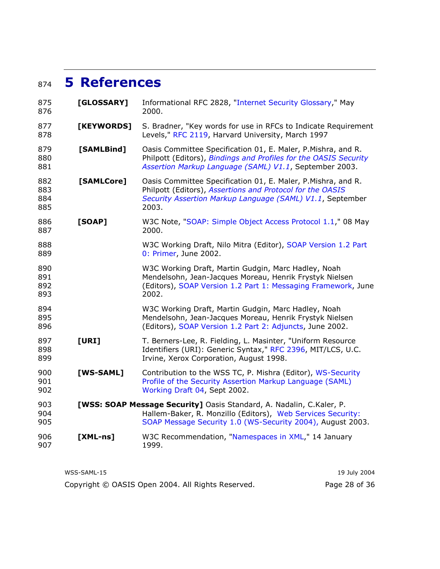## 874 5 References

| 875<br>876               | [GLOSSARY] | Informational RFC 2828, "Internet Security Glossary," May<br>2000.                                                                                                                                |
|--------------------------|------------|---------------------------------------------------------------------------------------------------------------------------------------------------------------------------------------------------|
| 877<br>878               | [KEYWORDS] | S. Bradner, "Key words for use in RFCs to Indicate Requirement<br>Levels," RFC 2119, Harvard University, March 1997                                                                               |
| 879<br>880<br>881        | [SAMLBind] | Oasis Committee Specification 01, E. Maler, P.Mishra, and R.<br>Philpott (Editors), Bindings and Profiles for the OASIS Security<br>Assertion Markup Language (SAML) V1.1, September 2003.        |
| 882<br>883<br>884<br>885 | [SAMLCore] | Oasis Committee Specification 01, E. Maler, P.Mishra, and R.<br>Philpott (Editors), Assertions and Protocol for the OASIS<br>Security Assertion Markup Language (SAML) V1.1, September<br>2003.   |
| 886<br>887               | [SOAP]     | W3C Note, "SOAP: Simple Object Access Protocol 1.1," 08 May<br>2000.                                                                                                                              |
| 888<br>889               |            | W3C Working Draft, Nilo Mitra (Editor), SOAP Version 1.2 Part<br>0: Primer, June 2002.                                                                                                            |
| 890<br>891<br>892<br>893 |            | W3C Working Draft, Martin Gudgin, Marc Hadley, Noah<br>Mendelsohn, Jean-Jacques Moreau, Henrik Frystyk Nielsen<br>(Editors), SOAP Version 1.2 Part 1: Messaging Framework, June<br>2002.          |
| 894<br>895<br>896        |            | W3C Working Draft, Martin Gudgin, Marc Hadley, Noah<br>Mendelsohn, Jean-Jacques Moreau, Henrik Frystyk Nielsen<br>(Editors), SOAP Version 1.2 Part 2: Adjuncts, June 2002.                        |
| 897<br>898<br>899        | [URI]      | T. Berners-Lee, R. Fielding, L. Masinter, "Uniform Resource<br>Identifiers (URI): Generic Syntax," RFC 2396, MIT/LCS, U.C.<br>Irvine, Xerox Corporation, August 1998.                             |
| 900<br>901<br>902        | [WS-SAML]  | Contribution to the WSS TC, P. Mishra (Editor), WS-Security<br>Profile of the Security Assertion Markup Language (SAML)<br>Working Draft 04, Sept 2002.                                           |
| 903<br>904<br>905        |            | [WSS: SOAP Message Security] Oasis Standard, A. Nadalin, C.Kaler, P.<br>Hallem-Baker, R. Monzillo (Editors), Web Services Security:<br>SOAP Message Security 1.0 (WS-Security 2004), August 2003. |
| 906<br>907               | $[XML-ns]$ | W3C Recommendation, "Namespaces in XML," 14 January<br>1999.                                                                                                                                      |
|                          |            |                                                                                                                                                                                                   |

| WSS-SAML-15                                       | 19 July 2004  |
|---------------------------------------------------|---------------|
| Copyright © OASIS Open 2004. All Rights Reserved. | Page 28 of 36 |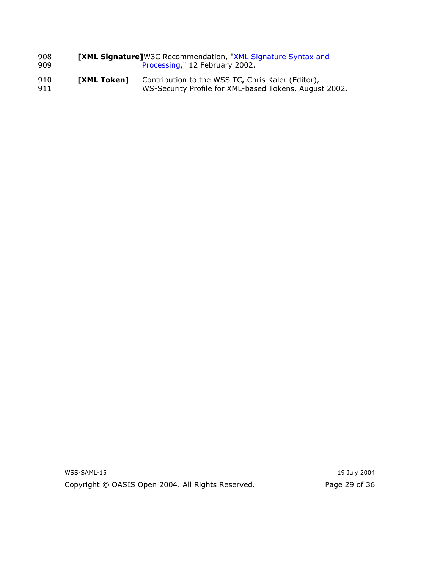| 908        | <b>[XML Signature]</b> W3C Recommendation, "XML Signature Syntax and |                                                                                                             |
|------------|----------------------------------------------------------------------|-------------------------------------------------------------------------------------------------------------|
| 909        | Processing," 12 February 2002.                                       |                                                                                                             |
| 910<br>911 | <b>TXML Token1</b>                                                   | Contribution to the WSS TC, Chris Kaler (Editor),<br>WS-Security Profile for XML-based Tokens, August 2002. |

WSS-SAML-15 Copyright © OASIS Open 2004. All Rights Reserved.

19 July 2004 Page 29 of 36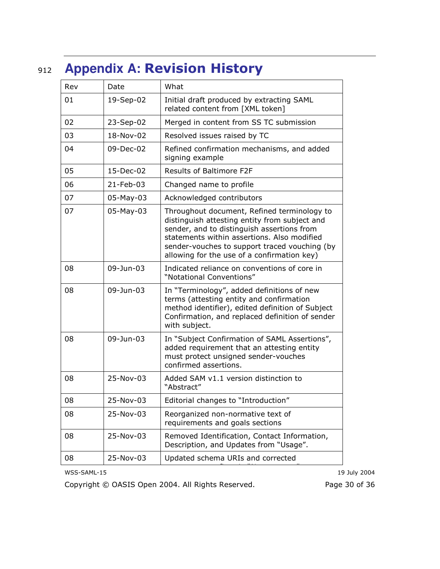### **Appendix A: Revision History** 912

| Rev | Date      | What                                                                                                                                                                                                                                                                                      |
|-----|-----------|-------------------------------------------------------------------------------------------------------------------------------------------------------------------------------------------------------------------------------------------------------------------------------------------|
| 01  | 19-Sep-02 | Initial draft produced by extracting SAML<br>related content from [XML token]                                                                                                                                                                                                             |
| 02  | 23-Sep-02 | Merged in content from SS TC submission                                                                                                                                                                                                                                                   |
| 03  | 18-Nov-02 | Resolved issues raised by TC                                                                                                                                                                                                                                                              |
| 04  | 09-Dec-02 | Refined confirmation mechanisms, and added<br>signing example                                                                                                                                                                                                                             |
| 05  | 15-Dec-02 | <b>Results of Baltimore F2F</b>                                                                                                                                                                                                                                                           |
| 06  | 21-Feb-03 | Changed name to profile                                                                                                                                                                                                                                                                   |
| 07  | 05-May-03 | Acknowledged contributors                                                                                                                                                                                                                                                                 |
| 07  | 05-May-03 | Throughout document, Refined terminology to<br>distinguish attesting entity from subject and<br>sender, and to distinguish assertions from<br>statements within assertions. Also modified<br>sender-vouches to support traced vouching (by<br>allowing for the use of a confirmation key) |
| 08  | 09-Jun-03 | Indicated reliance on conventions of core in<br>"Notational Conventions"                                                                                                                                                                                                                  |
| 08  | 09-Jun-03 | In "Terminology", added definitions of new<br>terms (attesting entity and confirmation<br>method identifier), edited definition of Subject<br>Confirmation, and replaced definition of sender<br>with subject.                                                                            |
| 08  | 09-Jun-03 | In "Subject Confirmation of SAML Assertions",<br>added requirement that an attesting entity<br>must protect unsigned sender-vouches<br>confirmed assertions.                                                                                                                              |
| 08  | 25-Nov-03 | Added SAM v1.1 version distinction to<br>"Abstract"                                                                                                                                                                                                                                       |
| 08  | 25-Nov-03 | Editorial changes to "Introduction"                                                                                                                                                                                                                                                       |
| 08  | 25-Nov-03 | Reorganized non-normative text of<br>requirements and goals sections                                                                                                                                                                                                                      |
| 08  | 25-Nov-03 | Removed Identification, Contact Information,<br>Description, and Updates from "Usage".                                                                                                                                                                                                    |
| 08  | 25-Nov-03 | Updated schema URIs and corrected                                                                                                                                                                                                                                                         |

WSS-SAML-15

Copyright © OASIS Open 2004. All Rights Reserved.

19 July 2004

Page 30 of 36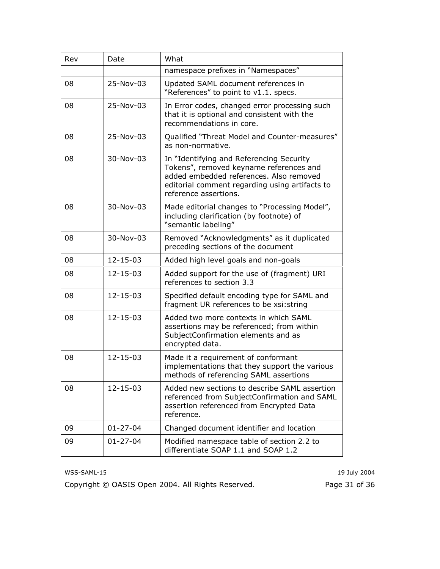| Rev | Date           | What                                                                                                                                                                                                      |
|-----|----------------|-----------------------------------------------------------------------------------------------------------------------------------------------------------------------------------------------------------|
|     |                | namespace prefixes in "Namespaces"                                                                                                                                                                        |
| 08  | 25-Nov-03      | Updated SAML document references in<br>"References" to point to v1.1. specs.                                                                                                                              |
| 08  | 25-Nov-03      | In Error codes, changed error processing such<br>that it is optional and consistent with the<br>recommendations in core.                                                                                  |
| 08  | 25-Nov-03      | Qualified "Threat Model and Counter-measures"<br>as non-normative.                                                                                                                                        |
| 08  | 30-Nov-03      | In "Identifying and Referencing Security<br>Tokens", removed keyname references and<br>added embedded references. Also removed<br>editorial comment regarding using artifacts to<br>reference assertions. |
| 08  | 30-Nov-03      | Made editorial changes to "Processing Model",<br>including clarification (by footnote) of<br>"semantic labeling"                                                                                          |
| 08  | 30-Nov-03      | Removed "Acknowledgments" as it duplicated<br>preceding sections of the document                                                                                                                          |
| 08  | $12 - 15 - 03$ | Added high level goals and non-goals                                                                                                                                                                      |
| 08  | $12 - 15 - 03$ | Added support for the use of (fragment) URI<br>references to section 3.3                                                                                                                                  |
| 08  | $12 - 15 - 03$ | Specified default encoding type for SAML and<br>fragment UR references to be xsi: string                                                                                                                  |
| 08  | $12 - 15 - 03$ | Added two more contexts in which SAML<br>assertions may be referenced; from within<br>SubjectConfirmation elements and as<br>encrypted data.                                                              |
| 08  | $12 - 15 - 03$ | Made it a requirement of conformant<br>implementations that they support the various<br>methods of referencing SAML assertions                                                                            |
| 08  | $12 - 15 - 03$ | Added new sections to describe SAML assertion<br>referenced from SubjectConfirmation and SAML<br>assertion referenced from Encrypted Data<br>reference.                                                   |
| 09  | $01 - 27 - 04$ | Changed document identifier and location                                                                                                                                                                  |
| 09  | $01 - 27 - 04$ | Modified namespace table of section 2.2 to<br>differentiate SOAP 1.1 and SOAP 1.2                                                                                                                         |

Copyright © OASIS Open 2004. All Rights Reserved.

19 July 2004 Page 31 of 36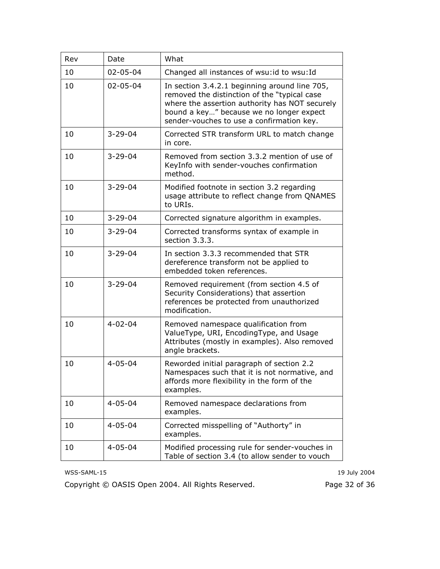| Rev | Date           | What                                                                                                                                                                                                                                     |
|-----|----------------|------------------------------------------------------------------------------------------------------------------------------------------------------------------------------------------------------------------------------------------|
| 10  | $02 - 05 - 04$ | Changed all instances of wsu: id to wsu: Id                                                                                                                                                                                              |
| 10  | $02 - 05 - 04$ | In section 3.4.2.1 beginning around line 705,<br>removed the distinction of the "typical case<br>where the assertion authority has NOT securely<br>bound a key" because we no longer expect<br>sender-vouches to use a confirmation key. |
| 10  | $3 - 29 - 04$  | Corrected STR transform URL to match change<br>in core.                                                                                                                                                                                  |
| 10  | $3 - 29 - 04$  | Removed from section 3.3.2 mention of use of<br>KeyInfo with sender-vouches confirmation<br>method.                                                                                                                                      |
| 10  | $3 - 29 - 04$  | Modified footnote in section 3.2 regarding<br>usage attribute to reflect change from QNAMES<br>to URIs.                                                                                                                                  |
| 10  | $3 - 29 - 04$  | Corrected signature algorithm in examples.                                                                                                                                                                                               |
| 10  | $3 - 29 - 04$  | Corrected transforms syntax of example in<br>section 3.3.3.                                                                                                                                                                              |
| 10  | $3 - 29 - 04$  | In section 3.3.3 recommended that STR<br>dereference transform not be applied to<br>embedded token references.                                                                                                                           |
| 10  | $3 - 29 - 04$  | Removed requirement (from section 4.5 of<br>Security Considerations) that assertion<br>references be protected from unauthorized<br>modification.                                                                                        |
| 10  | $4 - 02 - 04$  | Removed namespace qualification from<br>ValueType, URI, EncodingType, and Usage<br>Attributes (mostly in examples). Also removed<br>angle brackets.                                                                                      |
| 10  | $4 - 05 - 04$  | Reworded initial paragraph of section 2.2<br>Namespaces such that it is not normative, and<br>affords more flexibility in the form of the<br>examples.                                                                                   |
| 10  | $4 - 05 - 04$  | Removed namespace declarations from<br>examples.                                                                                                                                                                                         |
| 10  | $4 - 05 - 04$  | Corrected misspelling of "Authorty" in<br>examples.                                                                                                                                                                                      |
| 10  | $4 - 05 - 04$  | Modified processing rule for sender-vouches in<br>Table of section 3.4 (to allow sender to vouch                                                                                                                                         |

Copyright © OASIS Open 2004. All Rights Reserved.

19 July 2004 Page 32 of 36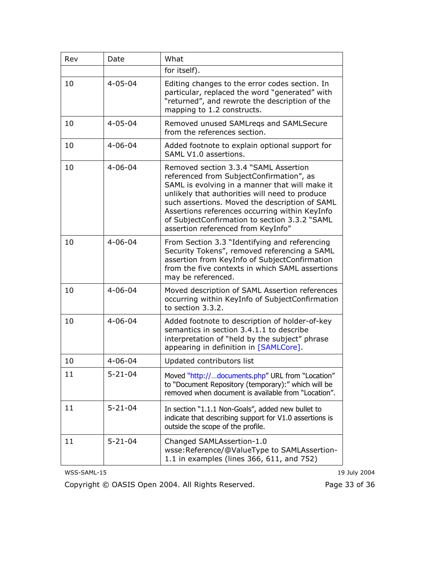| Rev | Date          | What                                                                                                                                                                                                                                                                                                                                                                             |
|-----|---------------|----------------------------------------------------------------------------------------------------------------------------------------------------------------------------------------------------------------------------------------------------------------------------------------------------------------------------------------------------------------------------------|
|     |               | for itself).                                                                                                                                                                                                                                                                                                                                                                     |
| 10  | $4 - 05 - 04$ | Editing changes to the error codes section. In<br>particular, replaced the word "generated" with<br>"returned", and rewrote the description of the<br>mapping to 1.2 constructs.                                                                                                                                                                                                 |
| 10  | $4 - 05 - 04$ | Removed unused SAMLregs and SAMLSecure<br>from the references section.                                                                                                                                                                                                                                                                                                           |
| 10  | $4 - 06 - 04$ | Added footnote to explain optional support for<br>SAML V1.0 assertions.                                                                                                                                                                                                                                                                                                          |
| 10  | $4 - 06 - 04$ | Removed section 3.3.4 "SAML Assertion<br>referenced from SubjectConfirmation", as<br>SAML is evolving in a manner that will make it<br>unlikely that authorities will need to produce<br>such assertions. Moved the description of SAML<br>Assertions references occurring within KeyInfo<br>of SubjectConfirmation to section 3.3.2 "SAML<br>assertion referenced from KeyInfo" |
| 10  | $4 - 06 - 04$ | From Section 3.3 "Identifying and referencing<br>Security Tokens", removed referencing a SAML<br>assertion from KeyInfo of SubjectConfirmation<br>from the five contexts in which SAML assertions<br>may be referenced.                                                                                                                                                          |
| 10  | $4 - 06 - 04$ | Moved description of SAML Assertion references<br>occurring within KeyInfo of SubjectConfirmation<br>to section 3.3.2.                                                                                                                                                                                                                                                           |
| 10  | $4 - 06 - 04$ | Added footnote to description of holder-of-key<br>semantics in section 3.4.1.1 to describe<br>interpretation of "held by the subject" phrase<br>appearing in definition in [SAMLCore].                                                                                                                                                                                           |
| 10  | $4 - 06 - 04$ | Updated contributors list                                                                                                                                                                                                                                                                                                                                                        |
| 11  | $5 - 21 - 04$ | Moved "http://documents.php" URL from "Location"<br>to "Document Repository (temporary):" which will be<br>removed when document is available from "Location".                                                                                                                                                                                                                   |
| 11  | $5 - 21 - 04$ | In section "1.1.1 Non-Goals", added new bullet to<br>indicate that describing support for V1.0 assertions is<br>outside the scope of the profile.                                                                                                                                                                                                                                |
| 11  | $5 - 21 - 04$ | Changed SAMLAssertion-1.0<br>wsse:Reference/@ValueType to SAMLAssertion-<br>1.1 in examples (lines 366, 611, and 752)                                                                                                                                                                                                                                                            |

Copyright © OASIS Open 2004. All Rights Reserved.

19 July 2004

Page 33 of 36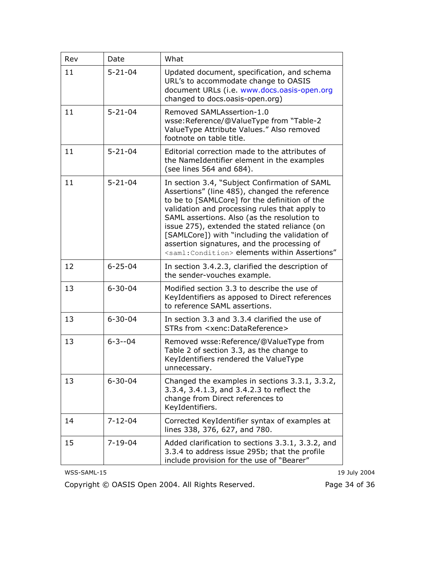| Rev | Date          | What                                                                                                                                                                                                                                                                                                                                                                                                                                                             |
|-----|---------------|------------------------------------------------------------------------------------------------------------------------------------------------------------------------------------------------------------------------------------------------------------------------------------------------------------------------------------------------------------------------------------------------------------------------------------------------------------------|
| 11  | $5 - 21 - 04$ | Updated document, specification, and schema<br>URL's to accommodate change to OASIS<br>document URLs (i.e. www.docs.oasis-open.org<br>changed to docs.oasis-open.org)                                                                                                                                                                                                                                                                                            |
| 11  | $5 - 21 - 04$ | Removed SAMLAssertion-1.0<br>wsse:Reference/@ValueType from "Table-2<br>ValueType Attribute Values." Also removed<br>footnote on table title.                                                                                                                                                                                                                                                                                                                    |
| 11  | $5 - 21 - 04$ | Editorial correction made to the attributes of<br>the NameIdentifier element in the examples<br>(see lines 564 and 684).                                                                                                                                                                                                                                                                                                                                         |
| 11  | $5 - 21 - 04$ | In section 3.4, "Subject Confirmation of SAML<br>Assertions" (line 485), changed the reference<br>to be to [SAMLCore] for the definition of the<br>validation and processing rules that apply to<br>SAML assertions. Also (as the resolution to<br>issue 275), extended the stated reliance (on<br>[SAMLCore]) with "including the validation of<br>assertion signatures, and the processing of<br><saml:condition> elements within Assertions"</saml:condition> |
| 12  | $6 - 25 - 04$ | In section 3.4.2.3, clarified the description of<br>the sender-vouches example.                                                                                                                                                                                                                                                                                                                                                                                  |
| 13  | $6 - 30 - 04$ | Modified section 3.3 to describe the use of<br>KeyIdentifiers as apposed to Direct references<br>to reference SAML assertions.                                                                                                                                                                                                                                                                                                                                   |
| 13  | $6 - 30 - 04$ | In section 3.3 and 3.3.4 clarified the use of<br>STRs from <xenc:datareference></xenc:datareference>                                                                                                                                                                                                                                                                                                                                                             |
| 13  | $6 - 3 - 04$  | Removed wsse: Reference/@ValueType from<br>Table 2 of section 3.3, as the change to<br>KeyIdentifiers rendered the ValueType<br>unnecessary.                                                                                                                                                                                                                                                                                                                     |
| 13  | $6 - 30 - 04$ | Changed the examples in sections 3.3.1, 3.3.2,<br>3.3.4, 3.4.1.3, and 3.4.2.3 to reflect the<br>change from Direct references to<br>KeyIdentifiers.                                                                                                                                                                                                                                                                                                              |
| 14  | $7 - 12 - 04$ | Corrected KeyIdentifier syntax of examples at<br>lines 338, 376, 627, and 780.                                                                                                                                                                                                                                                                                                                                                                                   |
| 15  | $7 - 19 - 04$ | Added clarification to sections 3.3.1, 3.3.2, and<br>3.3.4 to address issue 295b; that the profile<br>include provision for the use of "Bearer"                                                                                                                                                                                                                                                                                                                  |

Copyright © OASIS Open 2004. All Rights Reserved.

19 July 2004 Page 34 of 36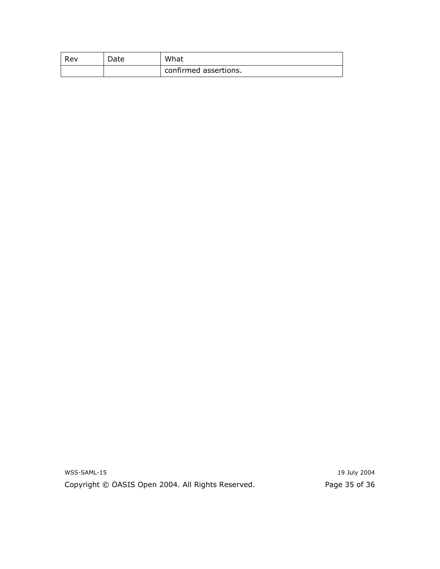| Rev | Date | What                  |
|-----|------|-----------------------|
|     |      | confirmed assertions. |

WSS-SAML-15 Copyright © OASIS Open 2004. All Rights Reserved.

19 July 2004 Page 35 of 36